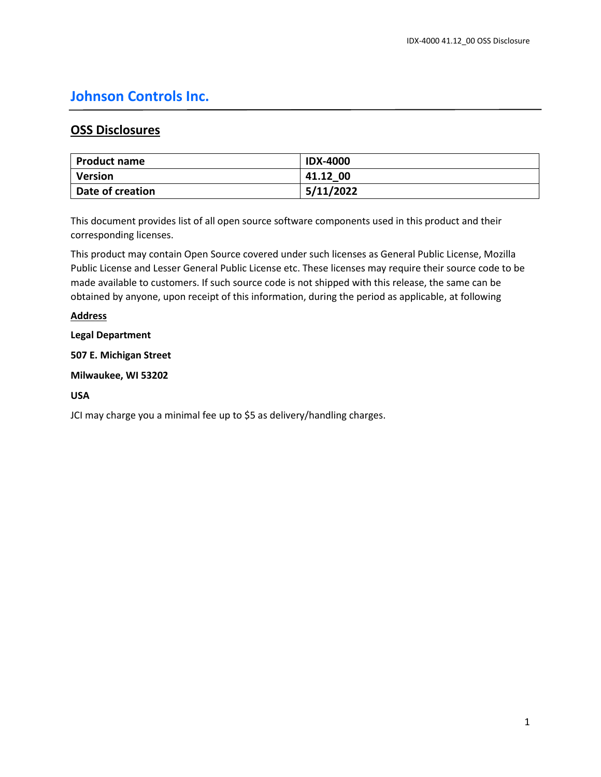# **Johnson Controls Inc.**

# **OSS Disclosures**

| Product name     | <b>IDX-4000</b> |
|------------------|-----------------|
| <b>Version</b>   | 41.12 00        |
| Date of creation | 5/11/2022       |

This document provides list of all open source software components used in this product and their corresponding licenses.

This product may contain Open Source covered under such licenses as General Public License, Mozilla Public License and Lesser General Public License etc. These licenses may require their source code to be made available to customers. If such source code is not shipped with this release, the same can be obtained by anyone, upon receipt of this information, during the period as applicable, at following

# **Address**

# **Legal Department**

**507 E. Michigan Street**

**Milwaukee, WI 53202**

## **USA**

JCI may charge you a minimal fee up to \$5 as delivery/handling charges.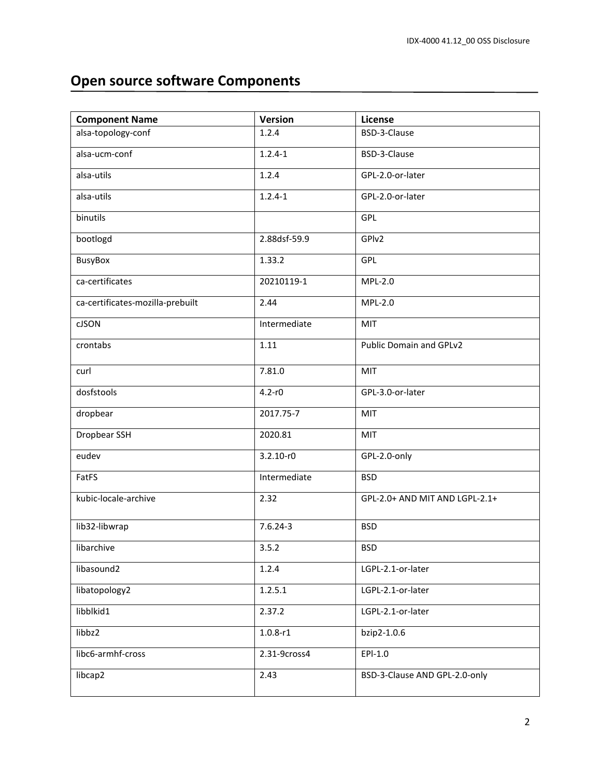# **Open source software Components**

| <b>Component Name</b>            | <b>Version</b> | License                        |
|----------------------------------|----------------|--------------------------------|
| alsa-topology-conf               | 1.2.4          | BSD-3-Clause                   |
| alsa-ucm-conf                    | $1.2.4 - 1$    | BSD-3-Clause                   |
| alsa-utils                       | 1.2.4          | GPL-2.0-or-later               |
| alsa-utils                       | $1.2.4 - 1$    | GPL-2.0-or-later               |
| binutils                         |                | GPL                            |
| bootlogd                         | 2.88dsf-59.9   | GPIv2                          |
| <b>BusyBox</b>                   | 1.33.2         | GPL                            |
| ca-certificates                  | 20210119-1     | MPL-2.0                        |
| ca-certificates-mozilla-prebuilt | 2.44           | MPL-2.0                        |
| <b>CJSON</b>                     | Intermediate   | MIT                            |
| crontabs                         | 1.11           | Public Domain and GPLv2        |
| curl                             | 7.81.0         | <b>MIT</b>                     |
| dosfstools                       | $4.2 - r0$     | GPL-3.0-or-later               |
| dropbear                         | 2017.75-7      | <b>MIT</b>                     |
| Dropbear SSH                     | 2020.81        | MIT                            |
| eudev                            | $3.2.10 - r0$  | GPL-2.0-only                   |
| FatFS                            | Intermediate   | <b>BSD</b>                     |
| kubic-locale-archive             | 2.32           | GPL-2.0+ AND MIT AND LGPL-2.1+ |
| lib32-libwrap                    | $7.6.24 - 3$   | <b>BSD</b>                     |
| libarchive                       | 3.5.2          | <b>BSD</b>                     |
| libasound2                       | 1.2.4          | LGPL-2.1-or-later              |
| libatopology2                    | 1.2.5.1        | LGPL-2.1-or-later              |
| libblkid1                        | 2.37.2         | LGPL-2.1-or-later              |
| libbz2                           | $1.0.8 - r1$   | bzip2-1.0.6                    |
| libc6-armhf-cross                | 2.31-9cross4   | $EPI-1.0$                      |
| libcap2                          | 2.43           | BSD-3-Clause AND GPL-2.0-only  |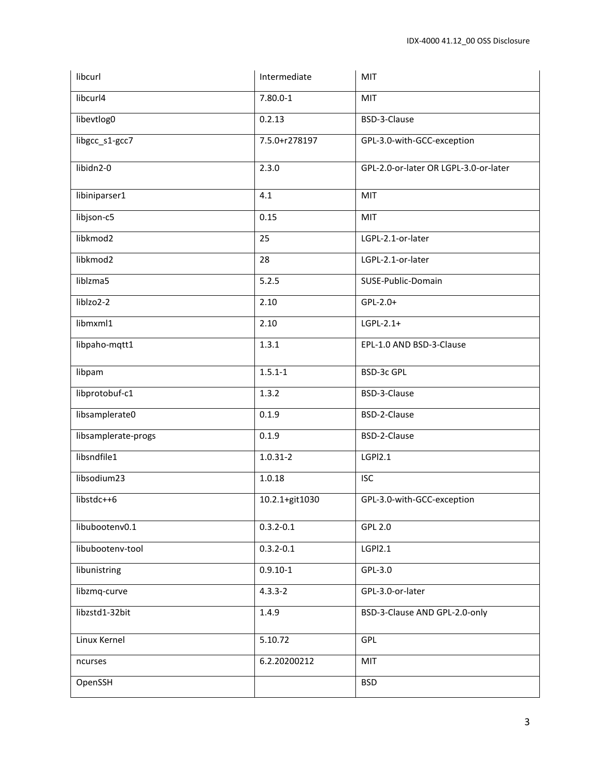| libcurl             | Intermediate   | MIT                                   |
|---------------------|----------------|---------------------------------------|
| libcurl4            | $7.80.0 - 1$   | MIT                                   |
| libevtlog0          | 0.2.13         | BSD-3-Clause                          |
| libgcc_s1-gcc7      | 7.5.0+r278197  | GPL-3.0-with-GCC-exception            |
| libidn2-0           | 2.3.0          | GPL-2.0-or-later OR LGPL-3.0-or-later |
| libiniparser1       | 4.1            | MIT                                   |
| libjson-c5          | 0.15           | MIT                                   |
| libkmod2            | 25             | LGPL-2.1-or-later                     |
| libkmod2            | 28             | LGPL-2.1-or-later                     |
| liblzma5            | 5.2.5          | SUSE-Public-Domain                    |
| liblzo2-2           | 2.10           | GPL-2.0+                              |
| libmxml1            | 2.10           | $LGPL-2.1+$                           |
| libpaho-mqtt1       | 1.3.1          | EPL-1.0 AND BSD-3-Clause              |
| libpam              | $1.5.1 - 1$    | <b>BSD-3c GPL</b>                     |
| libprotobuf-c1      | 1.3.2          | BSD-3-Clause                          |
| libsamplerate0      | 0.1.9          | BSD-2-Clause                          |
| libsamplerate-progs | 0.1.9          | BSD-2-Clause                          |
| libsndfile1         | $1.0.31 - 2$   | LGPI2.1                               |
| libsodium23         | 1.0.18         | <b>ISC</b>                            |
| libstdc++6          | 10.2.1+git1030 | GPL-3.0-with-GCC-exception            |
| libubootenv0.1      | $0.3.2 - 0.1$  | <b>GPL 2.0</b>                        |
| libubootenv-tool    | $0.3.2 - 0.1$  | LGPI2.1                               |
| libunistring        | $0.9.10 - 1$   | GPL-3.0                               |
| libzmq-curve        | $4.3.3 - 2$    | GPL-3.0-or-later                      |
| libzstd1-32bit      | 1.4.9          | BSD-3-Clause AND GPL-2.0-only         |
| Linux Kernel        | 5.10.72        | <b>GPL</b>                            |
| ncurses             | 6.2.20200212   | MIT                                   |
| OpenSSH             |                | <b>BSD</b>                            |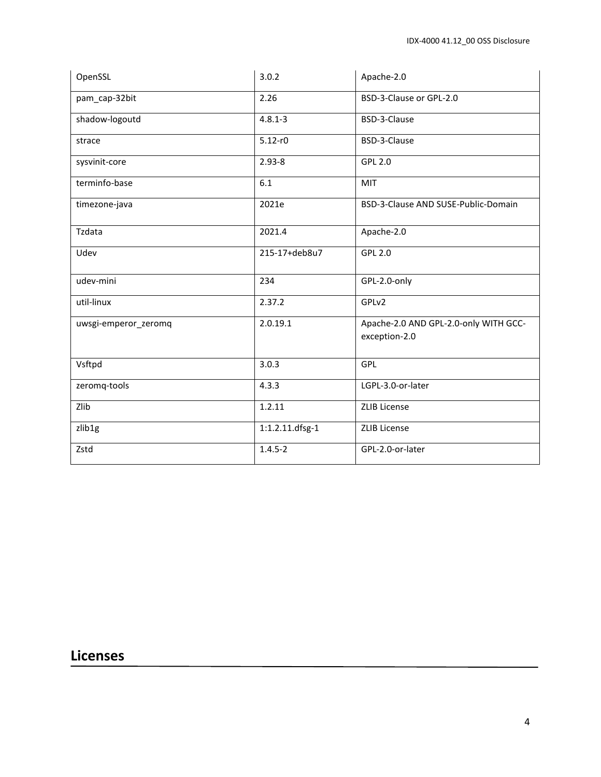| OpenSSL              | 3.0.2           | Apache-2.0                                             |
|----------------------|-----------------|--------------------------------------------------------|
| pam_cap-32bit        | 2.26            | BSD-3-Clause or GPL-2.0                                |
| shadow-logoutd       | $4.8.1 - 3$     | BSD-3-Clause                                           |
| strace               | $5.12 - r0$     | BSD-3-Clause                                           |
| sysvinit-core        | $2.93 - 8$      | <b>GPL 2.0</b>                                         |
| terminfo-base        | 6.1             | MIT                                                    |
| timezone-java        | 2021e           | BSD-3-Clause AND SUSE-Public-Domain                    |
| Tzdata               | 2021.4          | Apache-2.0                                             |
| Udev                 | 215-17+deb8u7   | <b>GPL 2.0</b>                                         |
| udev-mini            | 234             | GPL-2.0-only                                           |
| util-linux           | 2.37.2          | GPLv2                                                  |
| uwsgi-emperor_zeromq | 2.0.19.1        | Apache-2.0 AND GPL-2.0-only WITH GCC-<br>exception-2.0 |
| Vsftpd               | 3.0.3           | GPL                                                    |
| zeromq-tools         | 4.3.3           | LGPL-3.0-or-later                                      |
| Zlib                 | 1.2.11          | <b>ZLIB License</b>                                    |
| zlib <sub>1g</sub>   | 1:1.2.11.dfsg-1 | <b>ZLIB License</b>                                    |
| Zstd                 | $1.4.5 - 2$     | GPL-2.0-or-later                                       |

# **Licenses**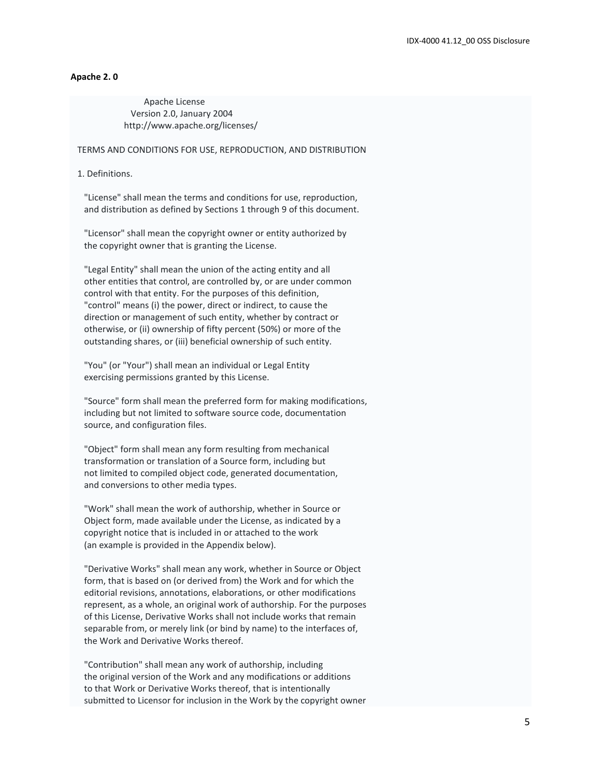#### **Apache 2. 0**

 Apache License Version 2.0, January 2004 http://www.apache.org/licenses/

TERMS AND CONDITIONS FOR USE, REPRODUCTION, AND DISTRIBUTION

1. Definitions.

 "License" shall mean the terms and conditions for use, reproduction, and distribution as defined by Sections 1 through 9 of this document.

 "Licensor" shall mean the copyright owner or entity authorized by the copyright owner that is granting the License.

 "Legal Entity" shall mean the union of the acting entity and all other entities that control, are controlled by, or are under common control with that entity. For the purposes of this definition, "control" means (i) the power, direct or indirect, to cause the direction or management of such entity, whether by contract or otherwise, or (ii) ownership of fifty percent (50%) or more of the outstanding shares, or (iii) beneficial ownership of such entity.

 "You" (or "Your") shall mean an individual or Legal Entity exercising permissions granted by this License.

 "Source" form shall mean the preferred form for making modifications, including but not limited to software source code, documentation source, and configuration files.

 "Object" form shall mean any form resulting from mechanical transformation or translation of a Source form, including but not limited to compiled object code, generated documentation, and conversions to other media types.

 "Work" shall mean the work of authorship, whether in Source or Object form, made available under the License, as indicated by a copyright notice that is included in or attached to the work (an example is provided in the Appendix below).

 "Derivative Works" shall mean any work, whether in Source or Object form, that is based on (or derived from) the Work and for which the editorial revisions, annotations, elaborations, or other modifications represent, as a whole, an original work of authorship. For the purposes of this License, Derivative Works shall not include works that remain separable from, or merely link (or bind by name) to the interfaces of, the Work and Derivative Works thereof.

 "Contribution" shall mean any work of authorship, including the original version of the Work and any modifications or additions to that Work or Derivative Works thereof, that is intentionally submitted to Licensor for inclusion in the Work by the copyright owner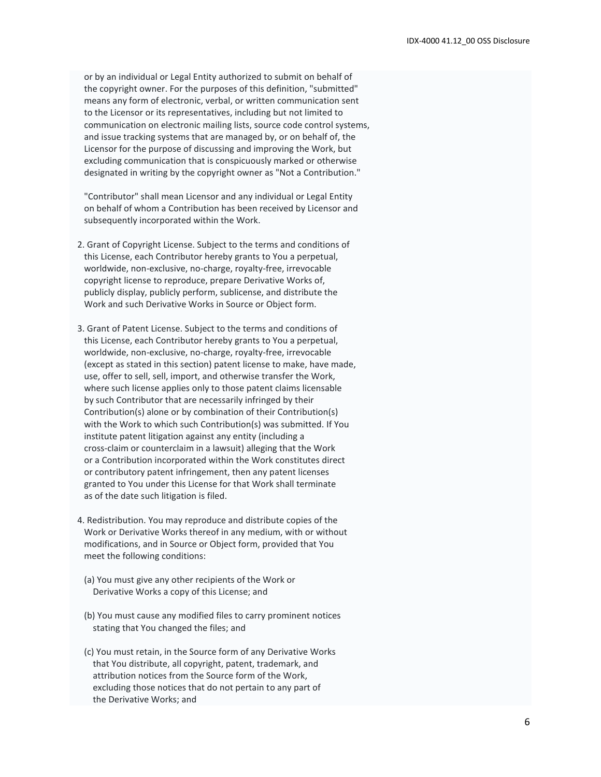or by an individual or Legal Entity authorized to submit on behalf of the copyright owner. For the purposes of this definition, "submitted" means any form of electronic, verbal, or written communication sent to the Licensor or its representatives, including but not limited to communication on electronic mailing lists, source code control systems, and issue tracking systems that are managed by, or on behalf of, the Licensor for the purpose of discussing and improving the Work, but excluding communication that is conspicuously marked or otherwise designated in writing by the copyright owner as "Not a Contribution."

 "Contributor" shall mean Licensor and any individual or Legal Entity on behalf of whom a Contribution has been received by Licensor and subsequently incorporated within the Work.

- 2. Grant of Copyright License. Subject to the terms and conditions of this License, each Contributor hereby grants to You a perpetual, worldwide, non-exclusive, no-charge, royalty-free, irrevocable copyright license to reproduce, prepare Derivative Works of, publicly display, publicly perform, sublicense, and distribute the Work and such Derivative Works in Source or Object form.
- 3. Grant of Patent License. Subject to the terms and conditions of this License, each Contributor hereby grants to You a perpetual, worldwide, non-exclusive, no-charge, royalty-free, irrevocable (except as stated in this section) patent license to make, have made, use, offer to sell, sell, import, and otherwise transfer the Work, where such license applies only to those patent claims licensable by such Contributor that are necessarily infringed by their Contribution(s) alone or by combination of their Contribution(s) with the Work to which such Contribution(s) was submitted. If You institute patent litigation against any entity (including a cross-claim or counterclaim in a lawsuit) alleging that the Work or a Contribution incorporated within the Work constitutes direct or contributory patent infringement, then any patent licenses granted to You under this License for that Work shall terminate as of the date such litigation is filed.
- 4. Redistribution. You may reproduce and distribute copies of the Work or Derivative Works thereof in any medium, with or without modifications, and in Source or Object form, provided that You meet the following conditions:
- (a) You must give any other recipients of the Work or Derivative Works a copy of this License; and
- (b) You must cause any modified files to carry prominent notices stating that You changed the files; and
- (c) You must retain, in the Source form of any Derivative Works that You distribute, all copyright, patent, trademark, and attribution notices from the Source form of the Work, excluding those notices that do not pertain to any part of the Derivative Works; and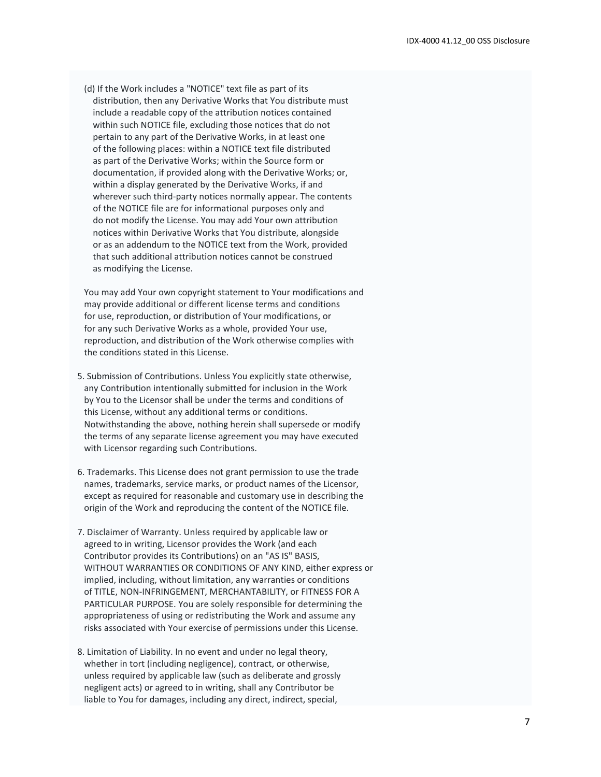(d) If the Work includes a "NOTICE" text file as part of its distribution, then any Derivative Works that You distribute must include a readable copy of the attribution notices contained within such NOTICE file, excluding those notices that do not pertain to any part of the Derivative Works, in at least one of the following places: within a NOTICE text file distributed as part of the Derivative Works; within the Source form or documentation, if provided along with the Derivative Works; or, within a display generated by the Derivative Works, if and wherever such third-party notices normally appear. The contents of the NOTICE file are for informational purposes only and do not modify the License. You may add Your own attribution notices within Derivative Works that You distribute, alongside or as an addendum to the NOTICE text from the Work, provided that such additional attribution notices cannot be construed as modifying the License.

 You may add Your own copyright statement to Your modifications and may provide additional or different license terms and conditions for use, reproduction, or distribution of Your modifications, or for any such Derivative Works as a whole, provided Your use, reproduction, and distribution of the Work otherwise complies with the conditions stated in this License.

- 5. Submission of Contributions. Unless You explicitly state otherwise, any Contribution intentionally submitted for inclusion in the Work by You to the Licensor shall be under the terms and conditions of this License, without any additional terms or conditions. Notwithstanding the above, nothing herein shall supersede or modify the terms of any separate license agreement you may have executed with Licensor regarding such Contributions.
- 6. Trademarks. This License does not grant permission to use the trade names, trademarks, service marks, or product names of the Licensor, except as required for reasonable and customary use in describing the origin of the Work and reproducing the content of the NOTICE file.
- 7. Disclaimer of Warranty. Unless required by applicable law or agreed to in writing, Licensor provides the Work (and each Contributor provides its Contributions) on an "AS IS" BASIS, WITHOUT WARRANTIES OR CONDITIONS OF ANY KIND, either express or implied, including, without limitation, any warranties or conditions of TITLE, NON-INFRINGEMENT, MERCHANTABILITY, or FITNESS FOR A PARTICULAR PURPOSE. You are solely responsible for determining the appropriateness of using or redistributing the Work and assume any risks associated with Your exercise of permissions under this License.
- 8. Limitation of Liability. In no event and under no legal theory, whether in tort (including negligence), contract, or otherwise, unless required by applicable law (such as deliberate and grossly negligent acts) or agreed to in writing, shall any Contributor be liable to You for damages, including any direct, indirect, special,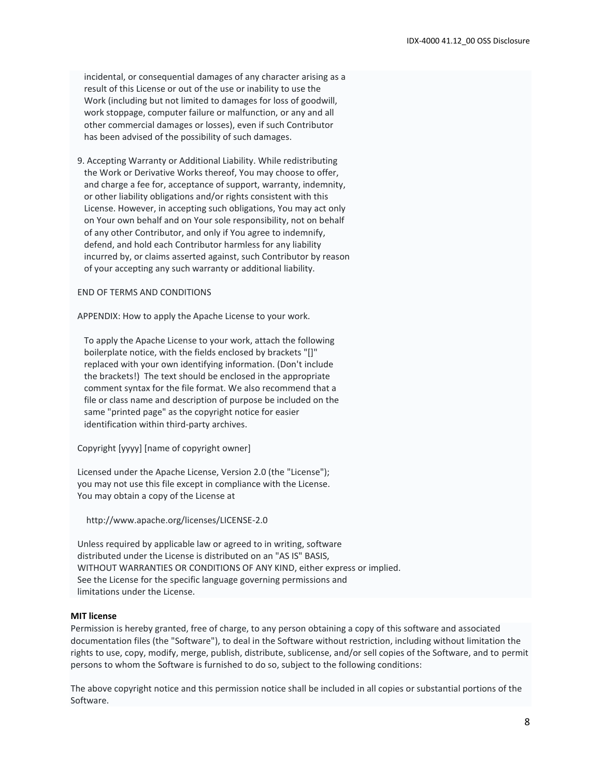incidental, or consequential damages of any character arising as a result of this License or out of the use or inability to use the Work (including but not limited to damages for loss of goodwill, work stoppage, computer failure or malfunction, or any and all other commercial damages or losses), even if such Contributor has been advised of the possibility of such damages.

 9. Accepting Warranty or Additional Liability. While redistributing the Work or Derivative Works thereof, You may choose to offer, and charge a fee for, acceptance of support, warranty, indemnity, or other liability obligations and/or rights consistent with this License. However, in accepting such obligations, You may act only on Your own behalf and on Your sole responsibility, not on behalf of any other Contributor, and only if You agree to indemnify, defend, and hold each Contributor harmless for any liability incurred by, or claims asserted against, such Contributor by reason of your accepting any such warranty or additional liability.

#### END OF TERMS AND CONDITIONS

APPENDIX: How to apply the Apache License to your work.

 To apply the Apache License to your work, attach the following boilerplate notice, with the fields enclosed by brackets "[]" replaced with your own identifying information. (Don't include the brackets!) The text should be enclosed in the appropriate comment syntax for the file format. We also recommend that a file or class name and description of purpose be included on the same "printed page" as the copyright notice for easier identification within third-party archives.

Copyright [yyyy] [name of copyright owner]

 Licensed under the Apache License, Version 2.0 (the "License"); you may not use this file except in compliance with the License. You may obtain a copy of the License at

http://www.apache.org/licenses/LICENSE-2.0

 Unless required by applicable law or agreed to in writing, software distributed under the License is distributed on an "AS IS" BASIS, WITHOUT WARRANTIES OR CONDITIONS OF ANY KIND, either express or implied. See the License for the specific language governing permissions and limitations under the License.

#### **MIT license**

Permission is hereby granted, free of charge, to any person obtaining a copy of this software and associated documentation files (the "Software"), to deal in the Software without restriction, including without limitation the rights to use, copy, modify, merge, publish, distribute, sublicense, and/or sell copies of the Software, and to permit persons to whom the Software is furnished to do so, subject to the following conditions:

The above copyright notice and this permission notice shall be included in all copies or substantial portions of the Software.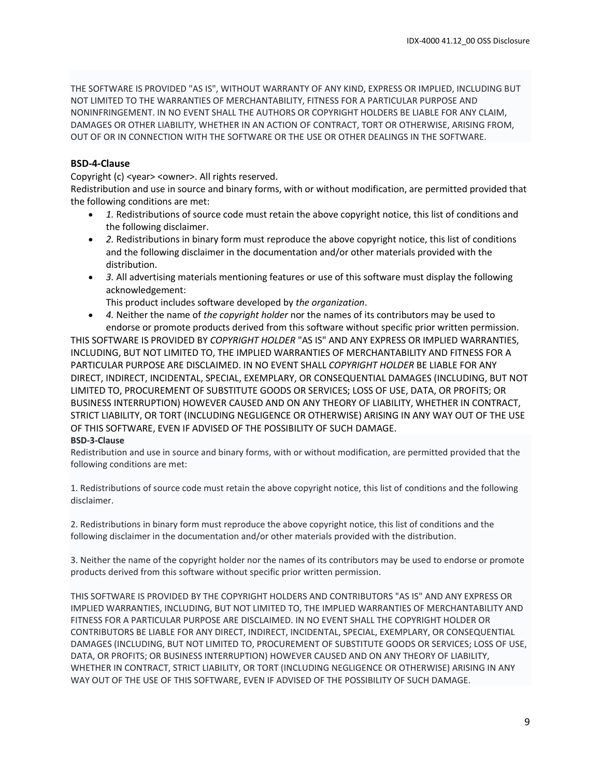THE SOFTWARE IS PROVIDED "AS IS", WITHOUT WARRANTY OF ANY KIND, EXPRESS OR IMPLIED, INCLUDING BUT NOT LIMITED TO THE WARRANTIES OF MERCHANTABILITY, FITNESS FOR A PARTICULAR PURPOSE AND NONINFRINGEMENT. IN NO EVENT SHALL THE AUTHORS OR COPYRIGHT HOLDERS BE LIABLE FOR ANY CLAIM, DAMAGES OR OTHER LIABILITY, WHETHER IN AN ACTION OF CONTRACT, TORT OR OTHERWISE, ARISING FROM, OUT OF OR IN CONNECTION WITH THE SOFTWARE OR THE USE OR OTHER DEALINGS IN THE SOFTWARE.

## **BSD-4-Clause**

Copyright (c) <year> <owner>. All rights reserved.

Redistribution and use in source and binary forms, with or without modification, are permitted provided that the following conditions are met:

- *1.* Redistributions of source code must retain the above copyright notice, this list of conditions and the following disclaimer.
- *2.* Redistributions in binary form must reproduce the above copyright notice, this list of conditions and the following disclaimer in the documentation and/or other materials provided with the distribution.
- *3.* All advertising materials mentioning features or use of this software must display the following acknowledgement:

This product includes software developed by *the organization*.

• *4.* Neither the name of *the copyright holder* nor the names of its contributors may be used to endorse or promote products derived from this software without specific prior written permission.

THIS SOFTWARE IS PROVIDED BY *COPYRIGHT HOLDER* "AS IS" AND ANY EXPRESS OR IMPLIED WARRANTIES, INCLUDING, BUT NOT LIMITED TO, THE IMPLIED WARRANTIES OF MERCHANTABILITY AND FITNESS FOR A PARTICULAR PURPOSE ARE DISCLAIMED. IN NO EVENT SHALL *COPYRIGHT HOLDER* BE LIABLE FOR ANY DIRECT, INDIRECT, INCIDENTAL, SPECIAL, EXEMPLARY, OR CONSEQUENTIAL DAMAGES (INCLUDING, BUT NOT LIMITED TO, PROCUREMENT OF SUBSTITUTE GOODS OR SERVICES; LOSS OF USE, DATA, OR PROFITS; OR BUSINESS INTERRUPTION) HOWEVER CAUSED AND ON ANY THEORY OF LIABILITY, WHETHER IN CONTRACT, STRICT LIABILITY, OR TORT (INCLUDING NEGLIGENCE OR OTHERWISE) ARISING IN ANY WAY OUT OF THE USE OF THIS SOFTWARE, EVEN IF ADVISED OF THE POSSIBILITY OF SUCH DAMAGE.

#### **BSD-3-Clause**

Redistribution and use in source and binary forms, with or without modification, are permitted provided that the following conditions are met:

1. Redistributions of source code must retain the above copyright notice, this list of conditions and the following disclaimer.

2. Redistributions in binary form must reproduce the above copyright notice, this list of conditions and the following disclaimer in the documentation and/or other materials provided with the distribution.

3. Neither the name of the copyright holder nor the names of its contributors may be used to endorse or promote products derived from this software without specific prior written permission.

THIS SOFTWARE IS PROVIDED BY THE COPYRIGHT HOLDERS AND CONTRIBUTORS "AS IS" AND ANY EXPRESS OR IMPLIED WARRANTIES, INCLUDING, BUT NOT LIMITED TO, THE IMPLIED WARRANTIES OF MERCHANTABILITY AND FITNESS FOR A PARTICULAR PURPOSE ARE DISCLAIMED. IN NO EVENT SHALL THE COPYRIGHT HOLDER OR CONTRIBUTORS BE LIABLE FOR ANY DIRECT, INDIRECT, INCIDENTAL, SPECIAL, EXEMPLARY, OR CONSEQUENTIAL DAMAGES (INCLUDING, BUT NOT LIMITED TO, PROCUREMENT OF SUBSTITUTE GOODS OR SERVICES; LOSS OF USE, DATA, OR PROFITS; OR BUSINESS INTERRUPTION) HOWEVER CAUSED AND ON ANY THEORY OF LIABILITY, WHETHER IN CONTRACT, STRICT LIABILITY, OR TORT (INCLUDING NEGLIGENCE OR OTHERWISE) ARISING IN ANY WAY OUT OF THE USE OF THIS SOFTWARE, EVEN IF ADVISED OF THE POSSIBILITY OF SUCH DAMAGE.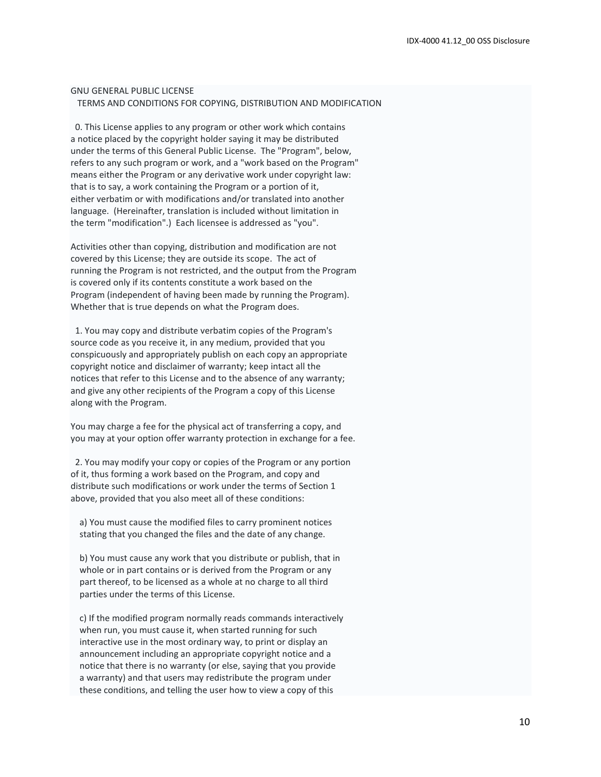#### GNU GENERAL PUBLIC LICENSE TERMS AND CONDITIONS FOR COPYING, DISTRIBUTION AND MODIFICATION

 0. This License applies to any program or other work which contains a notice placed by the copyright holder saying it may be distributed under the terms of this General Public License. The "Program", below, refers to any such program or work, and a "work based on the Program" means either the Program or any derivative work under copyright law: that is to say, a work containing the Program or a portion of it, either verbatim or with modifications and/or translated into another language. (Hereinafter, translation is included without limitation in the term "modification".) Each licensee is addressed as "you".

Activities other than copying, distribution and modification are not covered by this License; they are outside its scope. The act of running the Program is not restricted, and the output from the Program is covered only if its contents constitute a work based on the Program (independent of having been made by running the Program). Whether that is true depends on what the Program does.

 1. You may copy and distribute verbatim copies of the Program's source code as you receive it, in any medium, provided that you conspicuously and appropriately publish on each copy an appropriate copyright notice and disclaimer of warranty; keep intact all the notices that refer to this License and to the absence of any warranty; and give any other recipients of the Program a copy of this License along with the Program.

You may charge a fee for the physical act of transferring a copy, and you may at your option offer warranty protection in exchange for a fee.

 2. You may modify your copy or copies of the Program or any portion of it, thus forming a work based on the Program, and copy and distribute such modifications or work under the terms of Section 1 above, provided that you also meet all of these conditions:

 a) You must cause the modified files to carry prominent notices stating that you changed the files and the date of any change.

 b) You must cause any work that you distribute or publish, that in whole or in part contains or is derived from the Program or any part thereof, to be licensed as a whole at no charge to all third parties under the terms of this License.

 c) If the modified program normally reads commands interactively when run, you must cause it, when started running for such interactive use in the most ordinary way, to print or display an announcement including an appropriate copyright notice and a notice that there is no warranty (or else, saying that you provide a warranty) and that users may redistribute the program under these conditions, and telling the user how to view a copy of this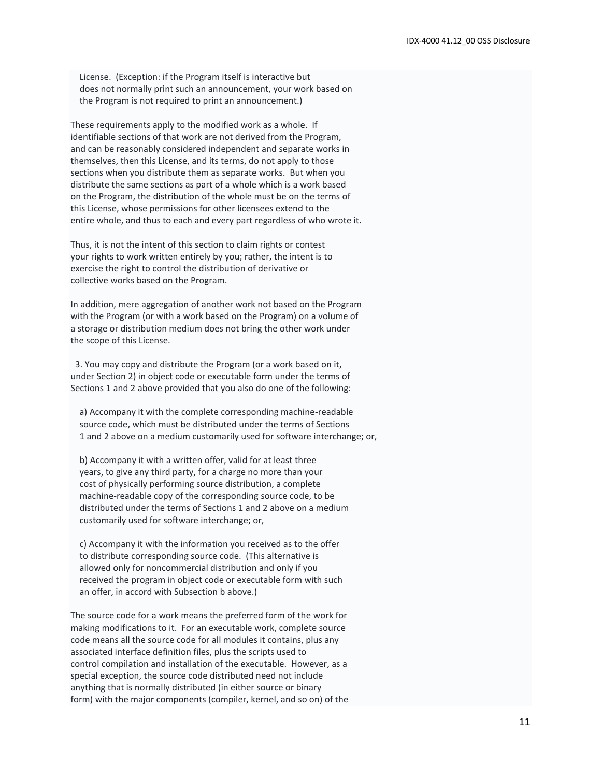License. (Exception: if the Program itself is interactive but does not normally print such an announcement, your work based on the Program is not required to print an announcement.)

These requirements apply to the modified work as a whole. If identifiable sections of that work are not derived from the Program, and can be reasonably considered independent and separate works in themselves, then this License, and its terms, do not apply to those sections when you distribute them as separate works. But when you distribute the same sections as part of a whole which is a work based on the Program, the distribution of the whole must be on the terms of this License, whose permissions for other licensees extend to the entire whole, and thus to each and every part regardless of who wrote it.

Thus, it is not the intent of this section to claim rights or contest your rights to work written entirely by you; rather, the intent is to exercise the right to control the distribution of derivative or collective works based on the Program.

In addition, mere aggregation of another work not based on the Program with the Program (or with a work based on the Program) on a volume of a storage or distribution medium does not bring the other work under the scope of this License.

 3. You may copy and distribute the Program (or a work based on it, under Section 2) in object code or executable form under the terms of Sections 1 and 2 above provided that you also do one of the following:

 a) Accompany it with the complete corresponding machine-readable source code, which must be distributed under the terms of Sections 1 and 2 above on a medium customarily used for software interchange; or,

 b) Accompany it with a written offer, valid for at least three years, to give any third party, for a charge no more than your cost of physically performing source distribution, a complete machine-readable copy of the corresponding source code, to be distributed under the terms of Sections 1 and 2 above on a medium customarily used for software interchange; or,

 c) Accompany it with the information you received as to the offer to distribute corresponding source code. (This alternative is allowed only for noncommercial distribution and only if you received the program in object code or executable form with such an offer, in accord with Subsection b above.)

The source code for a work means the preferred form of the work for making modifications to it. For an executable work, complete source code means all the source code for all modules it contains, plus any associated interface definition files, plus the scripts used to control compilation and installation of the executable. However, as a special exception, the source code distributed need not include anything that is normally distributed (in either source or binary form) with the major components (compiler, kernel, and so on) of the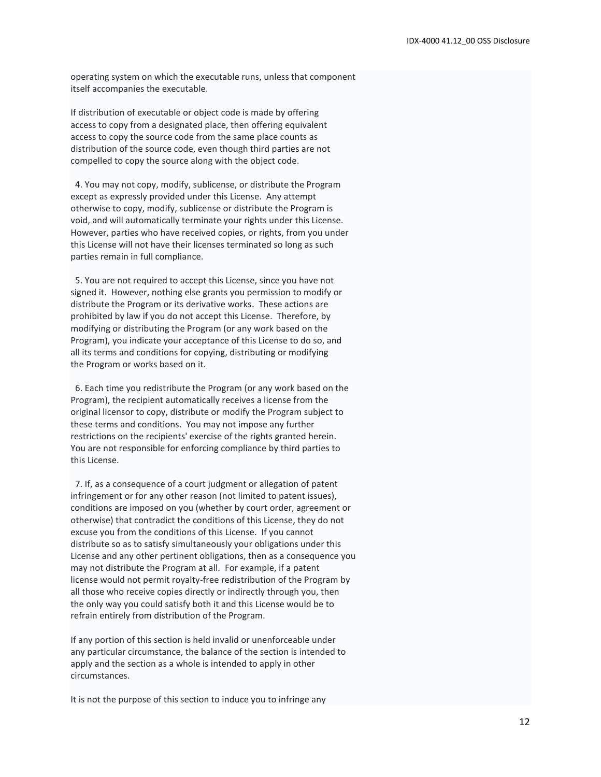operating system on which the executable runs, unless that component itself accompanies the executable.

If distribution of executable or object code is made by offering access to copy from a designated place, then offering equivalent access to copy the source code from the same place counts as distribution of the source code, even though third parties are not compelled to copy the source along with the object code.

 4. You may not copy, modify, sublicense, or distribute the Program except as expressly provided under this License. Any attempt otherwise to copy, modify, sublicense or distribute the Program is void, and will automatically terminate your rights under this License. However, parties who have received copies, or rights, from you under this License will not have their licenses terminated so long as such parties remain in full compliance.

 5. You are not required to accept this License, since you have not signed it. However, nothing else grants you permission to modify or distribute the Program or its derivative works. These actions are prohibited by law if you do not accept this License. Therefore, by modifying or distributing the Program (or any work based on the Program), you indicate your acceptance of this License to do so, and all its terms and conditions for copying, distributing or modifying the Program or works based on it.

 6. Each time you redistribute the Program (or any work based on the Program), the recipient automatically receives a license from the original licensor to copy, distribute or modify the Program subject to these terms and conditions. You may not impose any further restrictions on the recipients' exercise of the rights granted herein. You are not responsible for enforcing compliance by third parties to this License.

 7. If, as a consequence of a court judgment or allegation of patent infringement or for any other reason (not limited to patent issues), conditions are imposed on you (whether by court order, agreement or otherwise) that contradict the conditions of this License, they do not excuse you from the conditions of this License. If you cannot distribute so as to satisfy simultaneously your obligations under this License and any other pertinent obligations, then as a consequence you may not distribute the Program at all. For example, if a patent license would not permit royalty-free redistribution of the Program by all those who receive copies directly or indirectly through you, then the only way you could satisfy both it and this License would be to refrain entirely from distribution of the Program.

If any portion of this section is held invalid or unenforceable under any particular circumstance, the balance of the section is intended to apply and the section as a whole is intended to apply in other circumstances.

It is not the purpose of this section to induce you to infringe any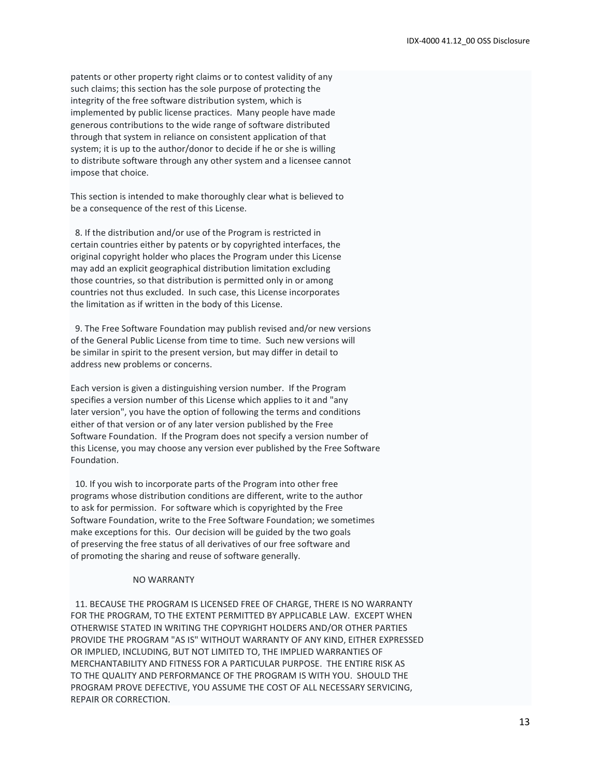patents or other property right claims or to contest validity of any such claims; this section has the sole purpose of protecting the integrity of the free software distribution system, which is implemented by public license practices. Many people have made generous contributions to the wide range of software distributed through that system in reliance on consistent application of that system; it is up to the author/donor to decide if he or she is willing to distribute software through any other system and a licensee cannot impose that choice.

This section is intended to make thoroughly clear what is believed to be a consequence of the rest of this License.

 8. If the distribution and/or use of the Program is restricted in certain countries either by patents or by copyrighted interfaces, the original copyright holder who places the Program under this License may add an explicit geographical distribution limitation excluding those countries, so that distribution is permitted only in or among countries not thus excluded. In such case, this License incorporates the limitation as if written in the body of this License.

 9. The Free Software Foundation may publish revised and/or new versions of the General Public License from time to time. Such new versions will be similar in spirit to the present version, but may differ in detail to address new problems or concerns.

Each version is given a distinguishing version number. If the Program specifies a version number of this License which applies to it and "any later version", you have the option of following the terms and conditions either of that version or of any later version published by the Free Software Foundation. If the Program does not specify a version number of this License, you may choose any version ever published by the Free Software Foundation.

 10. If you wish to incorporate parts of the Program into other free programs whose distribution conditions are different, write to the author to ask for permission. For software which is copyrighted by the Free Software Foundation, write to the Free Software Foundation; we sometimes make exceptions for this. Our decision will be guided by the two goals of preserving the free status of all derivatives of our free software and of promoting the sharing and reuse of software generally.

#### NO WARRANTY

 11. BECAUSE THE PROGRAM IS LICENSED FREE OF CHARGE, THERE IS NO WARRANTY FOR THE PROGRAM, TO THE EXTENT PERMITTED BY APPLICABLE LAW. EXCEPT WHEN OTHERWISE STATED IN WRITING THE COPYRIGHT HOLDERS AND/OR OTHER PARTIES PROVIDE THE PROGRAM "AS IS" WITHOUT WARRANTY OF ANY KIND, EITHER EXPRESSED OR IMPLIED, INCLUDING, BUT NOT LIMITED TO, THE IMPLIED WARRANTIES OF MERCHANTABILITY AND FITNESS FOR A PARTICULAR PURPOSE. THE ENTIRE RISK AS TO THE QUALITY AND PERFORMANCE OF THE PROGRAM IS WITH YOU. SHOULD THE PROGRAM PROVE DEFECTIVE, YOU ASSUME THE COST OF ALL NECESSARY SERVICING, REPAIR OR CORRECTION.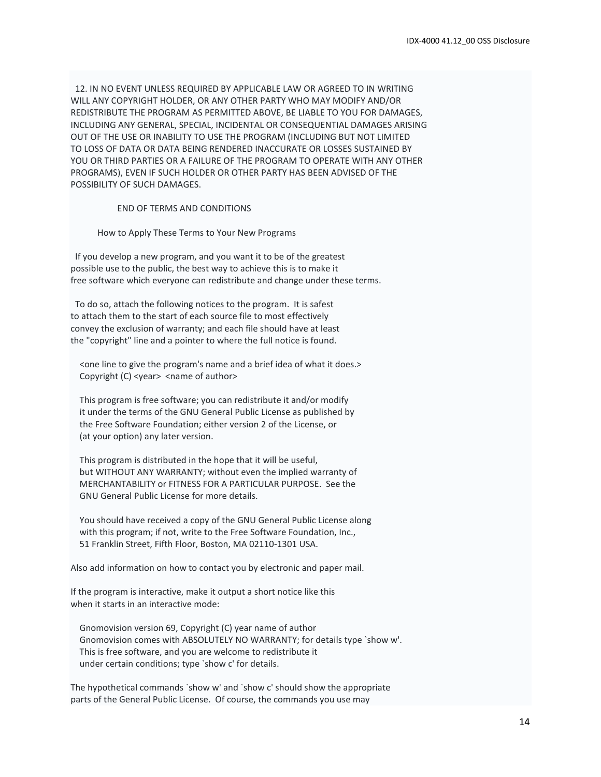12. IN NO EVENT UNLESS REQUIRED BY APPLICABLE LAW OR AGREED TO IN WRITING WILL ANY COPYRIGHT HOLDER, OR ANY OTHER PARTY WHO MAY MODIFY AND/OR REDISTRIBUTE THE PROGRAM AS PERMITTED ABOVE, BE LIABLE TO YOU FOR DAMAGES, INCLUDING ANY GENERAL, SPECIAL, INCIDENTAL OR CONSEQUENTIAL DAMAGES ARISING OUT OF THE USE OR INABILITY TO USE THE PROGRAM (INCLUDING BUT NOT LIMITED TO LOSS OF DATA OR DATA BEING RENDERED INACCURATE OR LOSSES SUSTAINED BY YOU OR THIRD PARTIES OR A FAILURE OF THE PROGRAM TO OPERATE WITH ANY OTHER PROGRAMS), EVEN IF SUCH HOLDER OR OTHER PARTY HAS BEEN ADVISED OF THE POSSIBILITY OF SUCH DAMAGES.

#### END OF TERMS AND CONDITIONS

How to Apply These Terms to Your New Programs

 If you develop a new program, and you want it to be of the greatest possible use to the public, the best way to achieve this is to make it free software which everyone can redistribute and change under these terms.

 To do so, attach the following notices to the program. It is safest to attach them to the start of each source file to most effectively convey the exclusion of warranty; and each file should have at least the "copyright" line and a pointer to where the full notice is found.

 <one line to give the program's name and a brief idea of what it does.> Copyright (C) <year> <name of author>

 This program is free software; you can redistribute it and/or modify it under the terms of the GNU General Public License as published by the Free Software Foundation; either version 2 of the License, or (at your option) any later version.

 This program is distributed in the hope that it will be useful, but WITHOUT ANY WARRANTY; without even the implied warranty of MERCHANTABILITY or FITNESS FOR A PARTICULAR PURPOSE. See the GNU General Public License for more details.

 You should have received a copy of the GNU General Public License along with this program; if not, write to the Free Software Foundation, Inc., 51 Franklin Street, Fifth Floor, Boston, MA 02110-1301 USA.

Also add information on how to contact you by electronic and paper mail.

If the program is interactive, make it output a short notice like this when it starts in an interactive mode:

 Gnomovision version 69, Copyright (C) year name of author Gnomovision comes with ABSOLUTELY NO WARRANTY; for details type `show w'. This is free software, and you are welcome to redistribute it under certain conditions; type `show c' for details.

The hypothetical commands `show w' and `show c' should show the appropriate parts of the General Public License. Of course, the commands you use may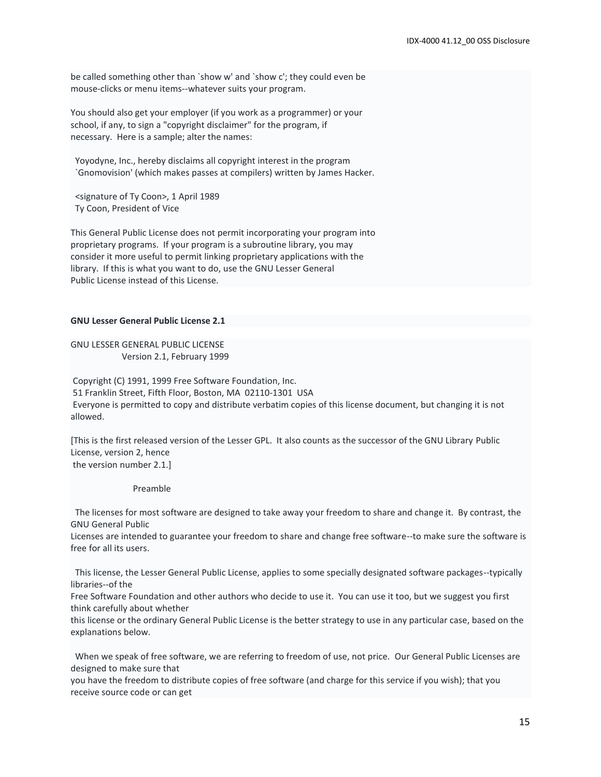be called something other than `show w' and `show c'; they could even be mouse-clicks or menu items--whatever suits your program.

You should also get your employer (if you work as a programmer) or your school, if any, to sign a "copyright disclaimer" for the program, if necessary. Here is a sample; alter the names:

 Yoyodyne, Inc., hereby disclaims all copyright interest in the program `Gnomovision' (which makes passes at compilers) written by James Hacker.

 <signature of Ty Coon>, 1 April 1989 Ty Coon, President of Vice

This General Public License does not permit incorporating your program into proprietary programs. If your program is a subroutine library, you may consider it more useful to permit linking proprietary applications with the library. If this is what you want to do, use the GNU Lesser General Public License instead of this License.

#### **GNU Lesser General Public License 2.1**

GNU LESSER GENERAL PUBLIC LICENSE Version 2.1, February 1999

Copyright (C) 1991, 1999 Free Software Foundation, Inc. 51 Franklin Street, Fifth Floor, Boston, MA 02110-1301 USA Everyone is permitted to copy and distribute verbatim copies of this license document, but changing it is not allowed.

[This is the first released version of the Lesser GPL. It also counts as the successor of the GNU Library Public License, version 2, hence the version number 2.1.]

Preamble

 The licenses for most software are designed to take away your freedom to share and change it. By contrast, the GNU General Public

Licenses are intended to guarantee your freedom to share and change free software--to make sure the software is free for all its users.

 This license, the Lesser General Public License, applies to some specially designated software packages--typically libraries--of the

Free Software Foundation and other authors who decide to use it. You can use it too, but we suggest you first think carefully about whether

this license or the ordinary General Public License is the better strategy to use in any particular case, based on the explanations below.

 When we speak of free software, we are referring to freedom of use, not price. Our General Public Licenses are designed to make sure that

you have the freedom to distribute copies of free software (and charge for this service if you wish); that you receive source code or can get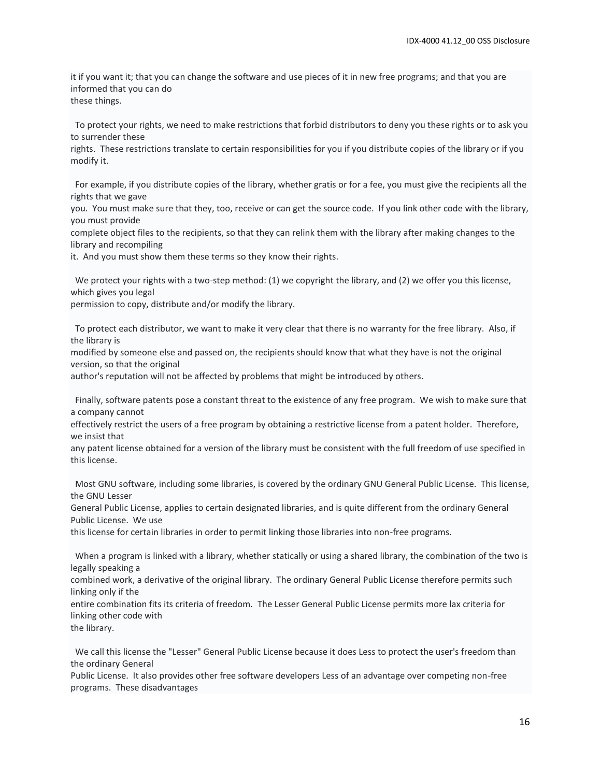it if you want it; that you can change the software and use pieces of it in new free programs; and that you are informed that you can do these things.

 To protect your rights, we need to make restrictions that forbid distributors to deny you these rights or to ask you to surrender these

rights. These restrictions translate to certain responsibilities for you if you distribute copies of the library or if you modify it.

 For example, if you distribute copies of the library, whether gratis or for a fee, you must give the recipients all the rights that we gave

you. You must make sure that they, too, receive or can get the source code. If you link other code with the library, you must provide

complete object files to the recipients, so that they can relink them with the library after making changes to the library and recompiling

it. And you must show them these terms so they know their rights.

 We protect your rights with a two-step method: (1) we copyright the library, and (2) we offer you this license, which gives you legal

permission to copy, distribute and/or modify the library.

 To protect each distributor, we want to make it very clear that there is no warranty for the free library. Also, if the library is

modified by someone else and passed on, the recipients should know that what they have is not the original version, so that the original

author's reputation will not be affected by problems that might be introduced by others.

 Finally, software patents pose a constant threat to the existence of any free program. We wish to make sure that a company cannot

effectively restrict the users of a free program by obtaining a restrictive license from a patent holder. Therefore, we insist that

any patent license obtained for a version of the library must be consistent with the full freedom of use specified in this license.

 Most GNU software, including some libraries, is covered by the ordinary GNU General Public License. This license, the GNU Lesser

General Public License, applies to certain designated libraries, and is quite different from the ordinary General Public License. We use

this license for certain libraries in order to permit linking those libraries into non-free programs.

 When a program is linked with a library, whether statically or using a shared library, the combination of the two is legally speaking a

combined work, a derivative of the original library. The ordinary General Public License therefore permits such linking only if the

entire combination fits its criteria of freedom. The Lesser General Public License permits more lax criteria for linking other code with

the library.

 We call this license the "Lesser" General Public License because it does Less to protect the user's freedom than the ordinary General

Public License. It also provides other free software developers Less of an advantage over competing non-free programs. These disadvantages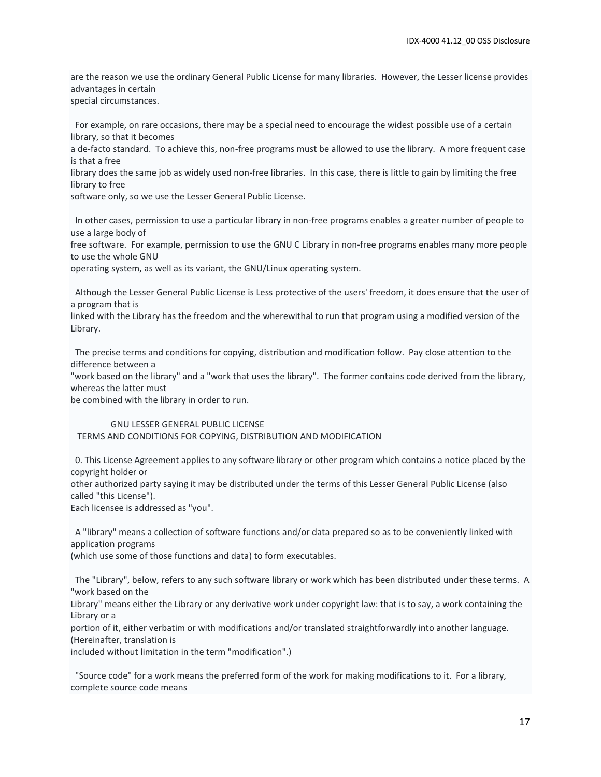are the reason we use the ordinary General Public License for many libraries. However, the Lesser license provides advantages in certain special circumstances.

 For example, on rare occasions, there may be a special need to encourage the widest possible use of a certain library, so that it becomes

a de-facto standard. To achieve this, non-free programs must be allowed to use the library. A more frequent case is that a free

library does the same job as widely used non-free libraries. In this case, there is little to gain by limiting the free library to free

software only, so we use the Lesser General Public License.

 In other cases, permission to use a particular library in non-free programs enables a greater number of people to use a large body of

free software. For example, permission to use the GNU C Library in non-free programs enables many more people to use the whole GNU

operating system, as well as its variant, the GNU/Linux operating system.

 Although the Lesser General Public License is Less protective of the users' freedom, it does ensure that the user of a program that is

linked with the Library has the freedom and the wherewithal to run that program using a modified version of the Library.

 The precise terms and conditions for copying, distribution and modification follow. Pay close attention to the difference between a

"work based on the library" and a "work that uses the library". The former contains code derived from the library, whereas the latter must

be combined with the library in order to run.

#### GNU LESSER GENERAL PUBLIC LICENSE TERMS AND CONDITIONS FOR COPYING, DISTRIBUTION AND MODIFICATION

 0. This License Agreement applies to any software library or other program which contains a notice placed by the copyright holder or

other authorized party saying it may be distributed under the terms of this Lesser General Public License (also called "this License").

Each licensee is addressed as "you".

 A "library" means a collection of software functions and/or data prepared so as to be conveniently linked with application programs

(which use some of those functions and data) to form executables.

 The "Library", below, refers to any such software library or work which has been distributed under these terms. A "work based on the

Library" means either the Library or any derivative work under copyright law: that is to say, a work containing the Library or a

portion of it, either verbatim or with modifications and/or translated straightforwardly into another language. (Hereinafter, translation is

included without limitation in the term "modification".)

 "Source code" for a work means the preferred form of the work for making modifications to it. For a library, complete source code means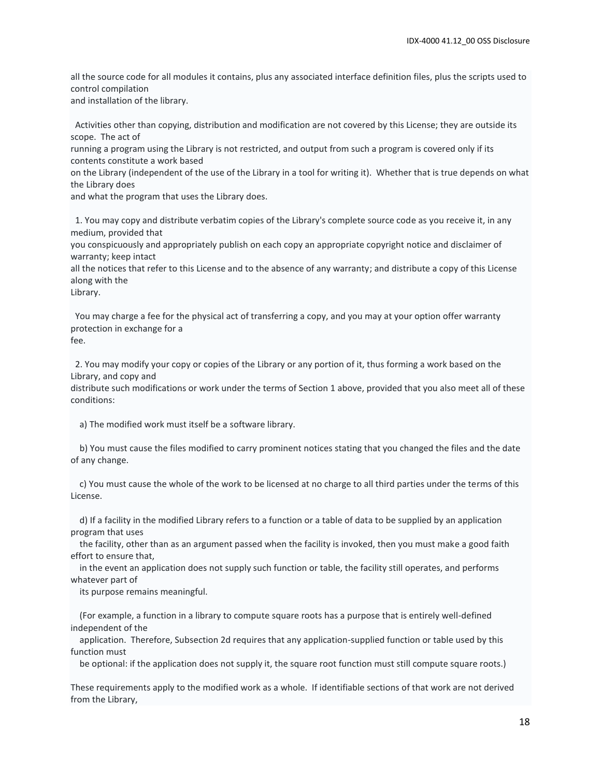all the source code for all modules it contains, plus any associated interface definition files, plus the scripts used to control compilation

and installation of the library.

 Activities other than copying, distribution and modification are not covered by this License; they are outside its scope. The act of

running a program using the Library is not restricted, and output from such a program is covered only if its contents constitute a work based

on the Library (independent of the use of the Library in a tool for writing it). Whether that is true depends on what the Library does

and what the program that uses the Library does.

 1. You may copy and distribute verbatim copies of the Library's complete source code as you receive it, in any medium, provided that

you conspicuously and appropriately publish on each copy an appropriate copyright notice and disclaimer of warranty; keep intact

all the notices that refer to this License and to the absence of any warranty; and distribute a copy of this License along with the

Library.

 You may charge a fee for the physical act of transferring a copy, and you may at your option offer warranty protection in exchange for a fee.

 2. You may modify your copy or copies of the Library or any portion of it, thus forming a work based on the Library, and copy and

distribute such modifications or work under the terms of Section 1 above, provided that you also meet all of these conditions:

a) The modified work must itself be a software library.

 b) You must cause the files modified to carry prominent notices stating that you changed the files and the date of any change.

 c) You must cause the whole of the work to be licensed at no charge to all third parties under the terms of this License.

 d) If a facility in the modified Library refers to a function or a table of data to be supplied by an application program that uses

 the facility, other than as an argument passed when the facility is invoked, then you must make a good faith effort to ensure that,

 in the event an application does not supply such function or table, the facility still operates, and performs whatever part of

its purpose remains meaningful.

 (For example, a function in a library to compute square roots has a purpose that is entirely well-defined independent of the

 application. Therefore, Subsection 2d requires that any application-supplied function or table used by this function must

be optional: if the application does not supply it, the square root function must still compute square roots.)

These requirements apply to the modified work as a whole. If identifiable sections of that work are not derived from the Library,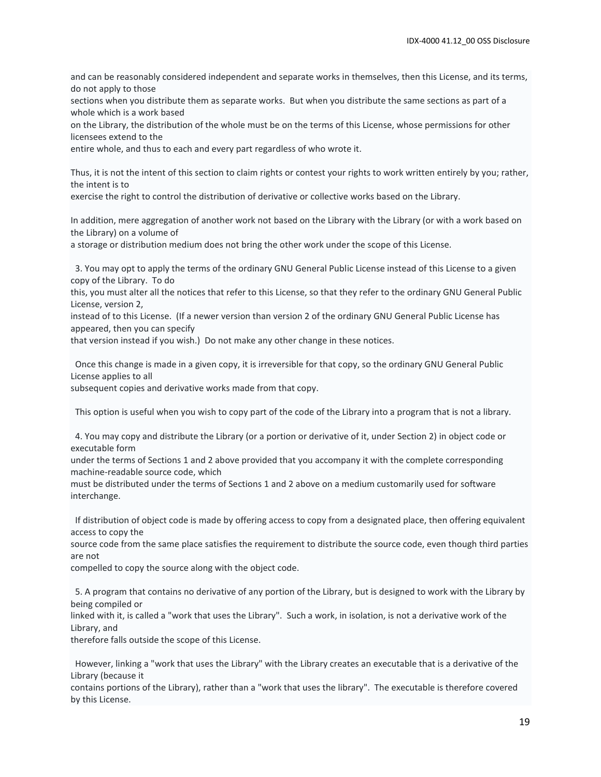and can be reasonably considered independent and separate works in themselves, then this License, and its terms, do not apply to those

sections when you distribute them as separate works. But when you distribute the same sections as part of a whole which is a work based

on the Library, the distribution of the whole must be on the terms of this License, whose permissions for other licensees extend to the

entire whole, and thus to each and every part regardless of who wrote it.

Thus, it is not the intent of this section to claim rights or contest your rights to work written entirely by you; rather, the intent is to

exercise the right to control the distribution of derivative or collective works based on the Library.

In addition, mere aggregation of another work not based on the Library with the Library (or with a work based on the Library) on a volume of

a storage or distribution medium does not bring the other work under the scope of this License.

 3. You may opt to apply the terms of the ordinary GNU General Public License instead of this License to a given copy of the Library. To do

this, you must alter all the notices that refer to this License, so that they refer to the ordinary GNU General Public License, version 2,

instead of to this License. (If a newer version than version 2 of the ordinary GNU General Public License has appeared, then you can specify

that version instead if you wish.) Do not make any other change in these notices.

 Once this change is made in a given copy, it is irreversible for that copy, so the ordinary GNU General Public License applies to all

subsequent copies and derivative works made from that copy.

This option is useful when you wish to copy part of the code of the Library into a program that is not a library.

 4. You may copy and distribute the Library (or a portion or derivative of it, under Section 2) in object code or executable form

under the terms of Sections 1 and 2 above provided that you accompany it with the complete corresponding machine-readable source code, which

must be distributed under the terms of Sections 1 and 2 above on a medium customarily used for software interchange.

 If distribution of object code is made by offering access to copy from a designated place, then offering equivalent access to copy the

source code from the same place satisfies the requirement to distribute the source code, even though third parties are not

compelled to copy the source along with the object code.

 5. A program that contains no derivative of any portion of the Library, but is designed to work with the Library by being compiled or

linked with it, is called a "work that uses the Library". Such a work, in isolation, is not a derivative work of the Library, and

therefore falls outside the scope of this License.

 However, linking a "work that uses the Library" with the Library creates an executable that is a derivative of the Library (because it

contains portions of the Library), rather than a "work that uses the library". The executable is therefore covered by this License.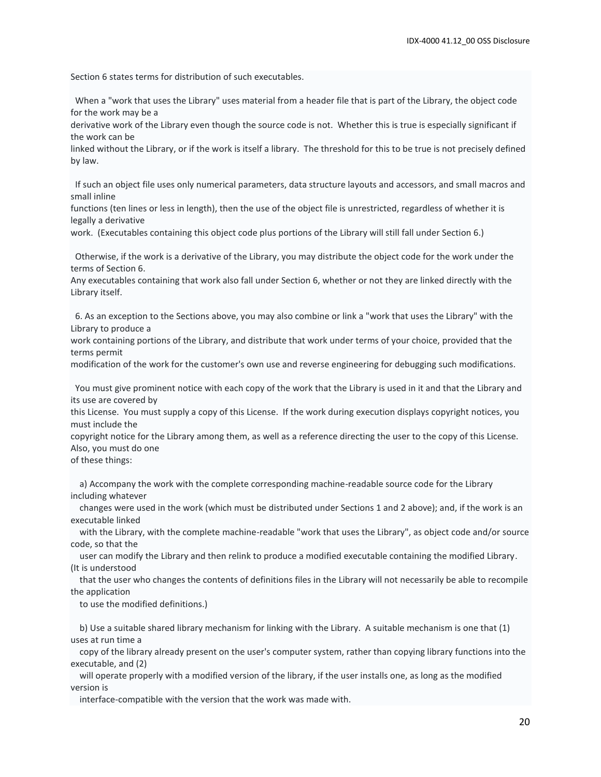Section 6 states terms for distribution of such executables.

 When a "work that uses the Library" uses material from a header file that is part of the Library, the object code for the work may be a

derivative work of the Library even though the source code is not. Whether this is true is especially significant if the work can be

linked without the Library, or if the work is itself a library. The threshold for this to be true is not precisely defined by law.

 If such an object file uses only numerical parameters, data structure layouts and accessors, and small macros and small inline

functions (ten lines or less in length), then the use of the object file is unrestricted, regardless of whether it is legally a derivative

work. (Executables containing this object code plus portions of the Library will still fall under Section 6.)

 Otherwise, if the work is a derivative of the Library, you may distribute the object code for the work under the terms of Section 6.

Any executables containing that work also fall under Section 6, whether or not they are linked directly with the Library itself.

 6. As an exception to the Sections above, you may also combine or link a "work that uses the Library" with the Library to produce a

work containing portions of the Library, and distribute that work under terms of your choice, provided that the terms permit

modification of the work for the customer's own use and reverse engineering for debugging such modifications.

 You must give prominent notice with each copy of the work that the Library is used in it and that the Library and its use are covered by

this License. You must supply a copy of this License. If the work during execution displays copyright notices, you must include the

copyright notice for the Library among them, as well as a reference directing the user to the copy of this License. Also, you must do one

of these things:

 a) Accompany the work with the complete corresponding machine-readable source code for the Library including whatever

 changes were used in the work (which must be distributed under Sections 1 and 2 above); and, if the work is an executable linked

 with the Library, with the complete machine-readable "work that uses the Library", as object code and/or source code, so that the

 user can modify the Library and then relink to produce a modified executable containing the modified Library. (It is understood

 that the user who changes the contents of definitions files in the Library will not necessarily be able to recompile the application

to use the modified definitions.)

 b) Use a suitable shared library mechanism for linking with the Library. A suitable mechanism is one that (1) uses at run time a

 copy of the library already present on the user's computer system, rather than copying library functions into the executable, and (2)

 will operate properly with a modified version of the library, if the user installs one, as long as the modified version is

interface-compatible with the version that the work was made with.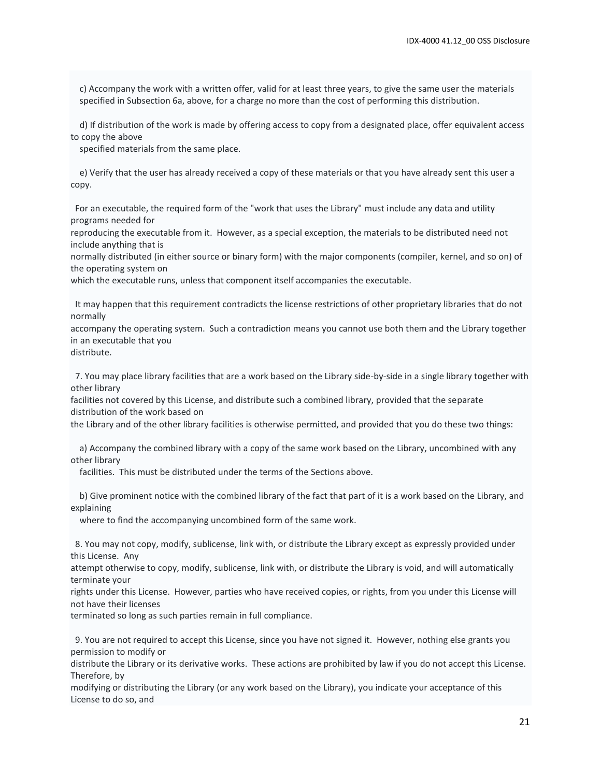c) Accompany the work with a written offer, valid for at least three years, to give the same user the materials specified in Subsection 6a, above, for a charge no more than the cost of performing this distribution.

 d) If distribution of the work is made by offering access to copy from a designated place, offer equivalent access to copy the above

specified materials from the same place.

 e) Verify that the user has already received a copy of these materials or that you have already sent this user a copy.

 For an executable, the required form of the "work that uses the Library" must include any data and utility programs needed for

reproducing the executable from it. However, as a special exception, the materials to be distributed need not include anything that is

normally distributed (in either source or binary form) with the major components (compiler, kernel, and so on) of the operating system on

which the executable runs, unless that component itself accompanies the executable.

 It may happen that this requirement contradicts the license restrictions of other proprietary libraries that do not normally

accompany the operating system. Such a contradiction means you cannot use both them and the Library together in an executable that you

distribute.

 7. You may place library facilities that are a work based on the Library side-by-side in a single library together with other library

facilities not covered by this License, and distribute such a combined library, provided that the separate distribution of the work based on

the Library and of the other library facilities is otherwise permitted, and provided that you do these two things:

 a) Accompany the combined library with a copy of the same work based on the Library, uncombined with any other library

facilities. This must be distributed under the terms of the Sections above.

 b) Give prominent notice with the combined library of the fact that part of it is a work based on the Library, and explaining

where to find the accompanying uncombined form of the same work.

 8. You may not copy, modify, sublicense, link with, or distribute the Library except as expressly provided under this License. Any

attempt otherwise to copy, modify, sublicense, link with, or distribute the Library is void, and will automatically terminate your

rights under this License. However, parties who have received copies, or rights, from you under this License will not have their licenses

terminated so long as such parties remain in full compliance.

 9. You are not required to accept this License, since you have not signed it. However, nothing else grants you permission to modify or

distribute the Library or its derivative works. These actions are prohibited by law if you do not accept this License. Therefore, by

modifying or distributing the Library (or any work based on the Library), you indicate your acceptance of this License to do so, and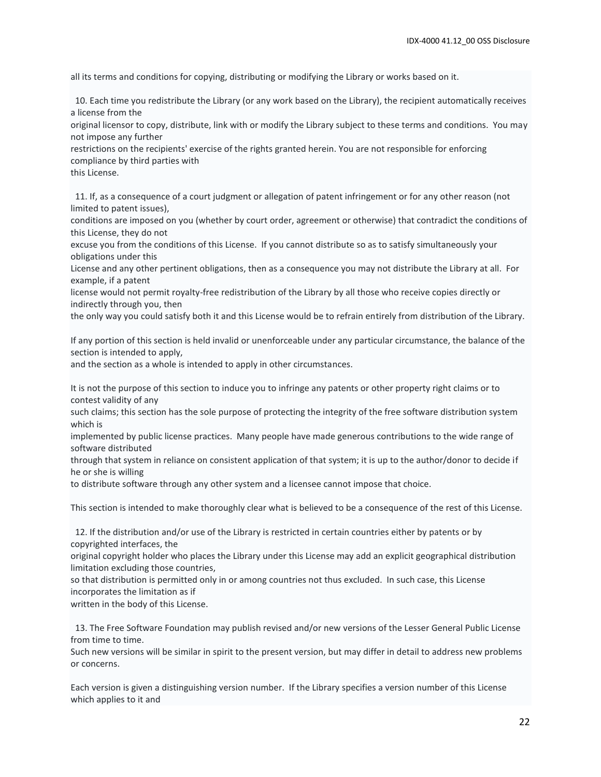all its terms and conditions for copying, distributing or modifying the Library or works based on it.

 10. Each time you redistribute the Library (or any work based on the Library), the recipient automatically receives a license from the

original licensor to copy, distribute, link with or modify the Library subject to these terms and conditions. You may not impose any further

restrictions on the recipients' exercise of the rights granted herein. You are not responsible for enforcing compliance by third parties with

this License.

 11. If, as a consequence of a court judgment or allegation of patent infringement or for any other reason (not limited to patent issues),

conditions are imposed on you (whether by court order, agreement or otherwise) that contradict the conditions of this License, they do not

excuse you from the conditions of this License. If you cannot distribute so as to satisfy simultaneously your obligations under this

License and any other pertinent obligations, then as a consequence you may not distribute the Library at all. For example, if a patent

license would not permit royalty-free redistribution of the Library by all those who receive copies directly or indirectly through you, then

the only way you could satisfy both it and this License would be to refrain entirely from distribution of the Library.

If any portion of this section is held invalid or unenforceable under any particular circumstance, the balance of the section is intended to apply,

and the section as a whole is intended to apply in other circumstances.

It is not the purpose of this section to induce you to infringe any patents or other property right claims or to contest validity of any

such claims; this section has the sole purpose of protecting the integrity of the free software distribution system which is

implemented by public license practices. Many people have made generous contributions to the wide range of software distributed

through that system in reliance on consistent application of that system; it is up to the author/donor to decide if he or she is willing

to distribute software through any other system and a licensee cannot impose that choice.

This section is intended to make thoroughly clear what is believed to be a consequence of the rest of this License.

 12. If the distribution and/or use of the Library is restricted in certain countries either by patents or by copyrighted interfaces, the

original copyright holder who places the Library under this License may add an explicit geographical distribution limitation excluding those countries,

so that distribution is permitted only in or among countries not thus excluded. In such case, this License incorporates the limitation as if

written in the body of this License.

 13. The Free Software Foundation may publish revised and/or new versions of the Lesser General Public License from time to time.

Such new versions will be similar in spirit to the present version, but may differ in detail to address new problems or concerns.

Each version is given a distinguishing version number. If the Library specifies a version number of this License which applies to it and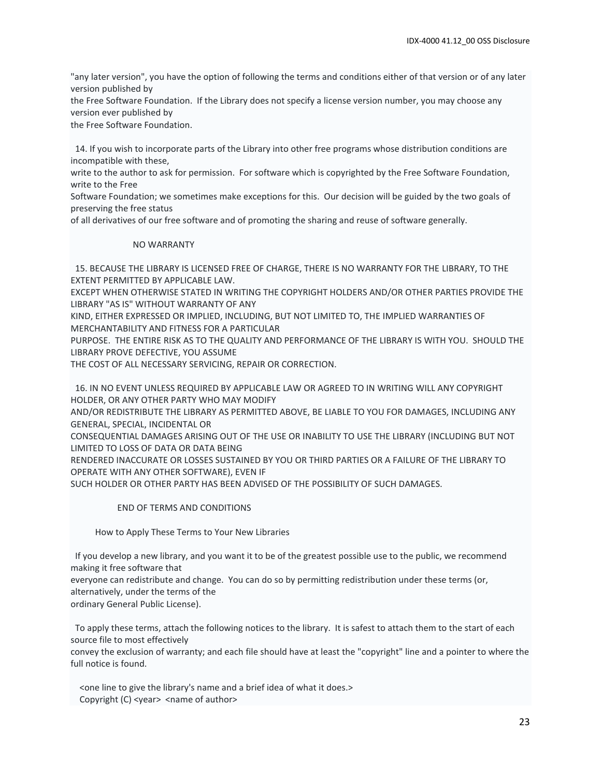"any later version", you have the option of following the terms and conditions either of that version or of any later version published by

the Free Software Foundation. If the Library does not specify a license version number, you may choose any version ever published by

the Free Software Foundation.

 14. If you wish to incorporate parts of the Library into other free programs whose distribution conditions are incompatible with these,

write to the author to ask for permission. For software which is copyrighted by the Free Software Foundation, write to the Free

Software Foundation; we sometimes make exceptions for this. Our decision will be guided by the two goals of preserving the free status

of all derivatives of our free software and of promoting the sharing and reuse of software generally.

#### NO WARRANTY

 15. BECAUSE THE LIBRARY IS LICENSED FREE OF CHARGE, THERE IS NO WARRANTY FOR THE LIBRARY, TO THE EXTENT PERMITTED BY APPLICABLE LAW.

EXCEPT WHEN OTHERWISE STATED IN WRITING THE COPYRIGHT HOLDERS AND/OR OTHER PARTIES PROVIDE THE LIBRARY "AS IS" WITHOUT WARRANTY OF ANY

KIND, EITHER EXPRESSED OR IMPLIED, INCLUDING, BUT NOT LIMITED TO, THE IMPLIED WARRANTIES OF MERCHANTABILITY AND FITNESS FOR A PARTICULAR

PURPOSE. THE ENTIRE RISK AS TO THE QUALITY AND PERFORMANCE OF THE LIBRARY IS WITH YOU. SHOULD THE LIBRARY PROVE DEFECTIVE, YOU ASSUME

THE COST OF ALL NECESSARY SERVICING, REPAIR OR CORRECTION.

 16. IN NO EVENT UNLESS REQUIRED BY APPLICABLE LAW OR AGREED TO IN WRITING WILL ANY COPYRIGHT HOLDER, OR ANY OTHER PARTY WHO MAY MODIFY

AND/OR REDISTRIBUTE THE LIBRARY AS PERMITTED ABOVE, BE LIABLE TO YOU FOR DAMAGES, INCLUDING ANY GENERAL, SPECIAL, INCIDENTAL OR

CONSEQUENTIAL DAMAGES ARISING OUT OF THE USE OR INABILITY TO USE THE LIBRARY (INCLUDING BUT NOT LIMITED TO LOSS OF DATA OR DATA BEING

RENDERED INACCURATE OR LOSSES SUSTAINED BY YOU OR THIRD PARTIES OR A FAILURE OF THE LIBRARY TO OPERATE WITH ANY OTHER SOFTWARE), EVEN IF

SUCH HOLDER OR OTHER PARTY HAS BEEN ADVISED OF THE POSSIBILITY OF SUCH DAMAGES.

END OF TERMS AND CONDITIONS

How to Apply These Terms to Your New Libraries

 If you develop a new library, and you want it to be of the greatest possible use to the public, we recommend making it free software that

everyone can redistribute and change. You can do so by permitting redistribution under these terms (or, alternatively, under the terms of the

ordinary General Public License).

 To apply these terms, attach the following notices to the library. It is safest to attach them to the start of each source file to most effectively

convey the exclusion of warranty; and each file should have at least the "copyright" line and a pointer to where the full notice is found.

 <one line to give the library's name and a brief idea of what it does.> Copyright (C) <year> <name of author>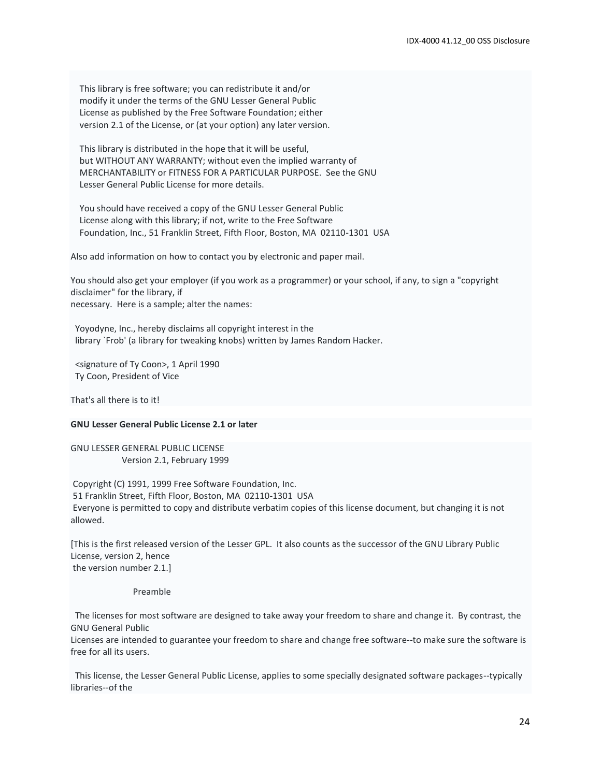This library is free software; you can redistribute it and/or modify it under the terms of the GNU Lesser General Public License as published by the Free Software Foundation; either version 2.1 of the License, or (at your option) any later version.

 This library is distributed in the hope that it will be useful, but WITHOUT ANY WARRANTY; without even the implied warranty of MERCHANTABILITY or FITNESS FOR A PARTICULAR PURPOSE. See the GNU Lesser General Public License for more details.

 You should have received a copy of the GNU Lesser General Public License along with this library; if not, write to the Free Software Foundation, Inc., 51 Franklin Street, Fifth Floor, Boston, MA 02110-1301 USA

Also add information on how to contact you by electronic and paper mail.

You should also get your employer (if you work as a programmer) or your school, if any, to sign a "copyright disclaimer" for the library, if necessary. Here is a sample; alter the names:

 Yoyodyne, Inc., hereby disclaims all copyright interest in the library `Frob' (a library for tweaking knobs) written by James Random Hacker.

 <signature of Ty Coon>, 1 April 1990 Ty Coon, President of Vice

That's all there is to it!

#### **GNU Lesser General Public License 2.1 or later**

GNU LESSER GENERAL PUBLIC LICENSE Version 2.1, February 1999

Copyright (C) 1991, 1999 Free Software Foundation, Inc. 51 Franklin Street, Fifth Floor, Boston, MA 02110-1301 USA Everyone is permitted to copy and distribute verbatim copies of this license document, but changing it is not allowed.

[This is the first released version of the Lesser GPL. It also counts as the successor of the GNU Library Public License, version 2, hence the version number 2.1.]

Preamble

 The licenses for most software are designed to take away your freedom to share and change it. By contrast, the GNU General Public

Licenses are intended to guarantee your freedom to share and change free software--to make sure the software is free for all its users.

 This license, the Lesser General Public License, applies to some specially designated software packages--typically libraries--of the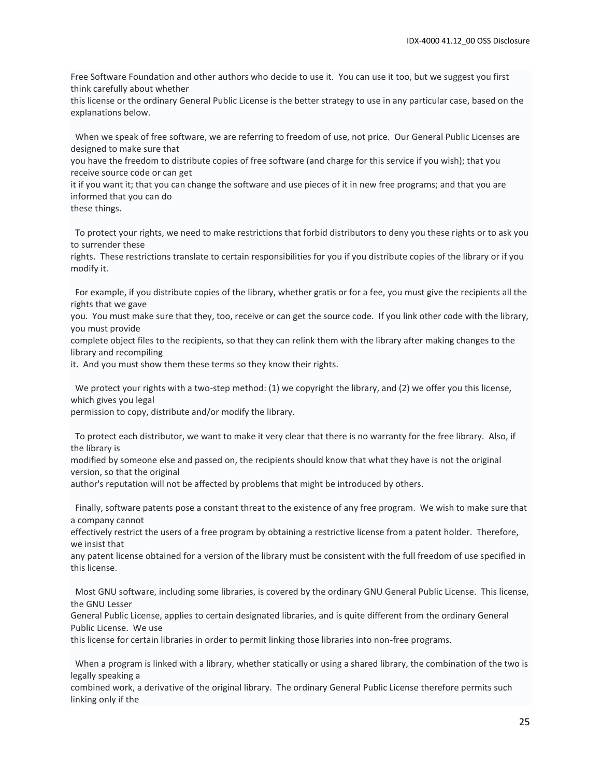Free Software Foundation and other authors who decide to use it. You can use it too, but we suggest you first think carefully about whether

this license or the ordinary General Public License is the better strategy to use in any particular case, based on the explanations below.

 When we speak of free software, we are referring to freedom of use, not price. Our General Public Licenses are designed to make sure that

you have the freedom to distribute copies of free software (and charge for this service if you wish); that you receive source code or can get

it if you want it; that you can change the software and use pieces of it in new free programs; and that you are informed that you can do

these things.

 To protect your rights, we need to make restrictions that forbid distributors to deny you these rights or to ask you to surrender these

rights. These restrictions translate to certain responsibilities for you if you distribute copies of the library or if you modify it.

 For example, if you distribute copies of the library, whether gratis or for a fee, you must give the recipients all the rights that we gave

you. You must make sure that they, too, receive or can get the source code. If you link other code with the library, you must provide

complete object files to the recipients, so that they can relink them with the library after making changes to the library and recompiling

it. And you must show them these terms so they know their rights.

 We protect your rights with a two-step method: (1) we copyright the library, and (2) we offer you this license, which gives you legal

permission to copy, distribute and/or modify the library.

 To protect each distributor, we want to make it very clear that there is no warranty for the free library. Also, if the library is

modified by someone else and passed on, the recipients should know that what they have is not the original version, so that the original

author's reputation will not be affected by problems that might be introduced by others.

 Finally, software patents pose a constant threat to the existence of any free program. We wish to make sure that a company cannot

effectively restrict the users of a free program by obtaining a restrictive license from a patent holder. Therefore, we insist that

any patent license obtained for a version of the library must be consistent with the full freedom of use specified in this license.

 Most GNU software, including some libraries, is covered by the ordinary GNU General Public License. This license, the GNU Lesser

General Public License, applies to certain designated libraries, and is quite different from the ordinary General Public License. We use

this license for certain libraries in order to permit linking those libraries into non-free programs.

 When a program is linked with a library, whether statically or using a shared library, the combination of the two is legally speaking a

combined work, a derivative of the original library. The ordinary General Public License therefore permits such linking only if the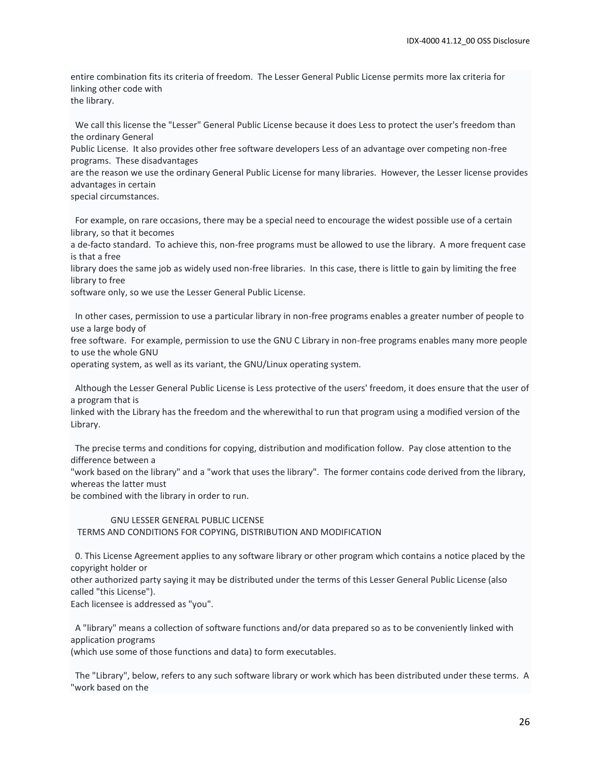entire combination fits its criteria of freedom. The Lesser General Public License permits more lax criteria for linking other code with

the library.

 We call this license the "Lesser" General Public License because it does Less to protect the user's freedom than the ordinary General

Public License. It also provides other free software developers Less of an advantage over competing non-free programs. These disadvantages

are the reason we use the ordinary General Public License for many libraries. However, the Lesser license provides advantages in certain

special circumstances.

 For example, on rare occasions, there may be a special need to encourage the widest possible use of a certain library, so that it becomes

a de-facto standard. To achieve this, non-free programs must be allowed to use the library. A more frequent case is that a free

library does the same job as widely used non-free libraries. In this case, there is little to gain by limiting the free library to free

software only, so we use the Lesser General Public License.

 In other cases, permission to use a particular library in non-free programs enables a greater number of people to use a large body of

free software. For example, permission to use the GNU C Library in non-free programs enables many more people to use the whole GNU

operating system, as well as its variant, the GNU/Linux operating system.

 Although the Lesser General Public License is Less protective of the users' freedom, it does ensure that the user of a program that is

linked with the Library has the freedom and the wherewithal to run that program using a modified version of the Library.

 The precise terms and conditions for copying, distribution and modification follow. Pay close attention to the difference between a

"work based on the library" and a "work that uses the library". The former contains code derived from the library, whereas the latter must

be combined with the library in order to run.

#### GNU LESSER GENERAL PUBLIC LICENSE TERMS AND CONDITIONS FOR COPYING, DISTRIBUTION AND MODIFICATION

 0. This License Agreement applies to any software library or other program which contains a notice placed by the copyright holder or

other authorized party saying it may be distributed under the terms of this Lesser General Public License (also called "this License").

Each licensee is addressed as "you".

 A "library" means a collection of software functions and/or data prepared so as to be conveniently linked with application programs

(which use some of those functions and data) to form executables.

 The "Library", below, refers to any such software library or work which has been distributed under these terms. A "work based on the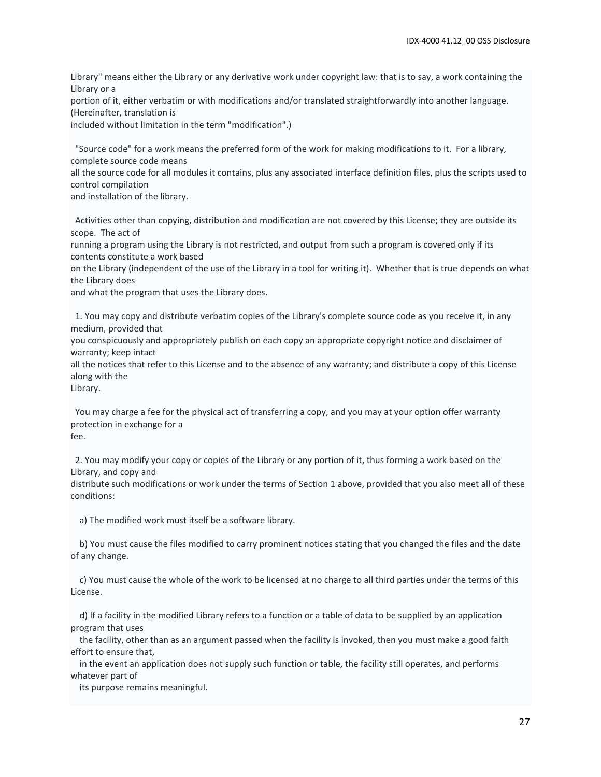Library" means either the Library or any derivative work under copyright law: that is to say, a work containing the Library or a

portion of it, either verbatim or with modifications and/or translated straightforwardly into another language. (Hereinafter, translation is

included without limitation in the term "modification".)

 "Source code" for a work means the preferred form of the work for making modifications to it. For a library, complete source code means

all the source code for all modules it contains, plus any associated interface definition files, plus the scripts used to control compilation

and installation of the library.

 Activities other than copying, distribution and modification are not covered by this License; they are outside its scope. The act of

running a program using the Library is not restricted, and output from such a program is covered only if its contents constitute a work based

on the Library (independent of the use of the Library in a tool for writing it). Whether that is true depends on what the Library does

and what the program that uses the Library does.

 1. You may copy and distribute verbatim copies of the Library's complete source code as you receive it, in any medium, provided that

you conspicuously and appropriately publish on each copy an appropriate copyright notice and disclaimer of warranty; keep intact

all the notices that refer to this License and to the absence of any warranty; and distribute a copy of this License along with the

Library.

 You may charge a fee for the physical act of transferring a copy, and you may at your option offer warranty protection in exchange for a fee.

 2. You may modify your copy or copies of the Library or any portion of it, thus forming a work based on the Library, and copy and

distribute such modifications or work under the terms of Section 1 above, provided that you also meet all of these conditions:

a) The modified work must itself be a software library.

 b) You must cause the files modified to carry prominent notices stating that you changed the files and the date of any change.

 c) You must cause the whole of the work to be licensed at no charge to all third parties under the terms of this License.

 d) If a facility in the modified Library refers to a function or a table of data to be supplied by an application program that uses

 the facility, other than as an argument passed when the facility is invoked, then you must make a good faith effort to ensure that,

 in the event an application does not supply such function or table, the facility still operates, and performs whatever part of

its purpose remains meaningful.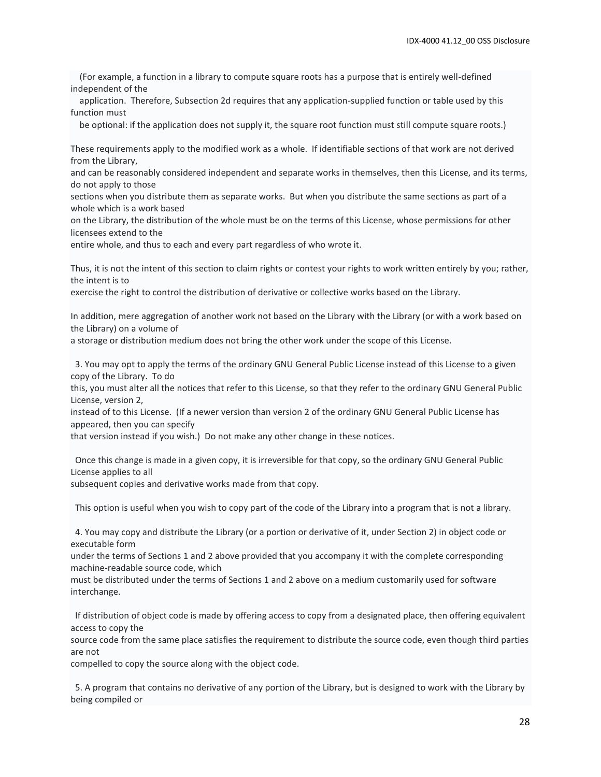(For example, a function in a library to compute square roots has a purpose that is entirely well-defined independent of the

 application. Therefore, Subsection 2d requires that any application-supplied function or table used by this function must

be optional: if the application does not supply it, the square root function must still compute square roots.)

These requirements apply to the modified work as a whole. If identifiable sections of that work are not derived from the Library,

and can be reasonably considered independent and separate works in themselves, then this License, and its terms, do not apply to those

sections when you distribute them as separate works. But when you distribute the same sections as part of a whole which is a work based

on the Library, the distribution of the whole must be on the terms of this License, whose permissions for other licensees extend to the

entire whole, and thus to each and every part regardless of who wrote it.

Thus, it is not the intent of this section to claim rights or contest your rights to work written entirely by you; rather, the intent is to

exercise the right to control the distribution of derivative or collective works based on the Library.

In addition, mere aggregation of another work not based on the Library with the Library (or with a work based on the Library) on a volume of

a storage or distribution medium does not bring the other work under the scope of this License.

 3. You may opt to apply the terms of the ordinary GNU General Public License instead of this License to a given copy of the Library. To do

this, you must alter all the notices that refer to this License, so that they refer to the ordinary GNU General Public License, version 2,

instead of to this License. (If a newer version than version 2 of the ordinary GNU General Public License has appeared, then you can specify

that version instead if you wish.) Do not make any other change in these notices.

 Once this change is made in a given copy, it is irreversible for that copy, so the ordinary GNU General Public License applies to all

subsequent copies and derivative works made from that copy.

This option is useful when you wish to copy part of the code of the Library into a program that is not a library.

 4. You may copy and distribute the Library (or a portion or derivative of it, under Section 2) in object code or executable form

under the terms of Sections 1 and 2 above provided that you accompany it with the complete corresponding machine-readable source code, which

must be distributed under the terms of Sections 1 and 2 above on a medium customarily used for software interchange.

 If distribution of object code is made by offering access to copy from a designated place, then offering equivalent access to copy the

source code from the same place satisfies the requirement to distribute the source code, even though third parties are not

compelled to copy the source along with the object code.

 5. A program that contains no derivative of any portion of the Library, but is designed to work with the Library by being compiled or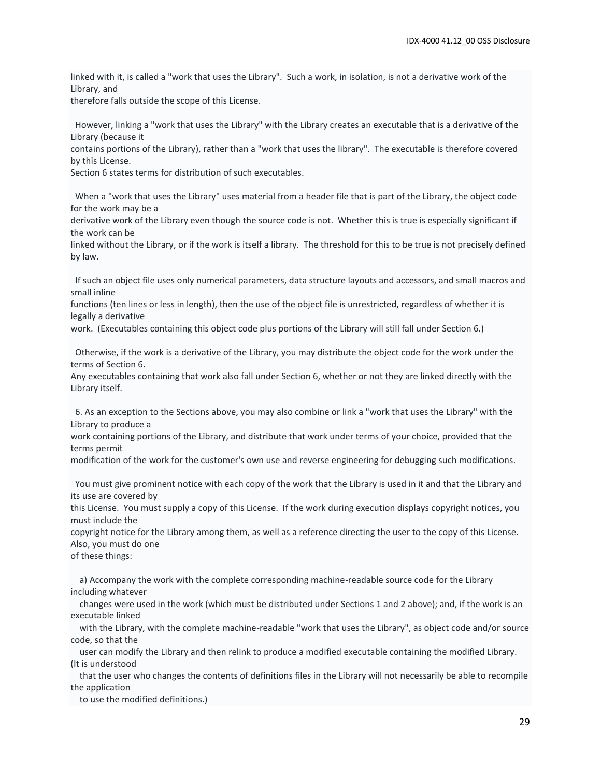linked with it, is called a "work that uses the Library". Such a work, in isolation, is not a derivative work of the Library, and

therefore falls outside the scope of this License.

 However, linking a "work that uses the Library" with the Library creates an executable that is a derivative of the Library (because it

contains portions of the Library), rather than a "work that uses the library". The executable is therefore covered by this License.

Section 6 states terms for distribution of such executables.

 When a "work that uses the Library" uses material from a header file that is part of the Library, the object code for the work may be a

derivative work of the Library even though the source code is not. Whether this is true is especially significant if the work can be

linked without the Library, or if the work is itself a library. The threshold for this to be true is not precisely defined by law.

 If such an object file uses only numerical parameters, data structure layouts and accessors, and small macros and small inline

functions (ten lines or less in length), then the use of the object file is unrestricted, regardless of whether it is legally a derivative

work. (Executables containing this object code plus portions of the Library will still fall under Section 6.)

 Otherwise, if the work is a derivative of the Library, you may distribute the object code for the work under the terms of Section 6.

Any executables containing that work also fall under Section 6, whether or not they are linked directly with the Library itself.

 6. As an exception to the Sections above, you may also combine or link a "work that uses the Library" with the Library to produce a

work containing portions of the Library, and distribute that work under terms of your choice, provided that the terms permit

modification of the work for the customer's own use and reverse engineering for debugging such modifications.

 You must give prominent notice with each copy of the work that the Library is used in it and that the Library and its use are covered by

this License. You must supply a copy of this License. If the work during execution displays copyright notices, you must include the

copyright notice for the Library among them, as well as a reference directing the user to the copy of this License. Also, you must do one

of these things:

 a) Accompany the work with the complete corresponding machine-readable source code for the Library including whatever

 changes were used in the work (which must be distributed under Sections 1 and 2 above); and, if the work is an executable linked

 with the Library, with the complete machine-readable "work that uses the Library", as object code and/or source code, so that the

 user can modify the Library and then relink to produce a modified executable containing the modified Library. (It is understood

 that the user who changes the contents of definitions files in the Library will not necessarily be able to recompile the application

to use the modified definitions.)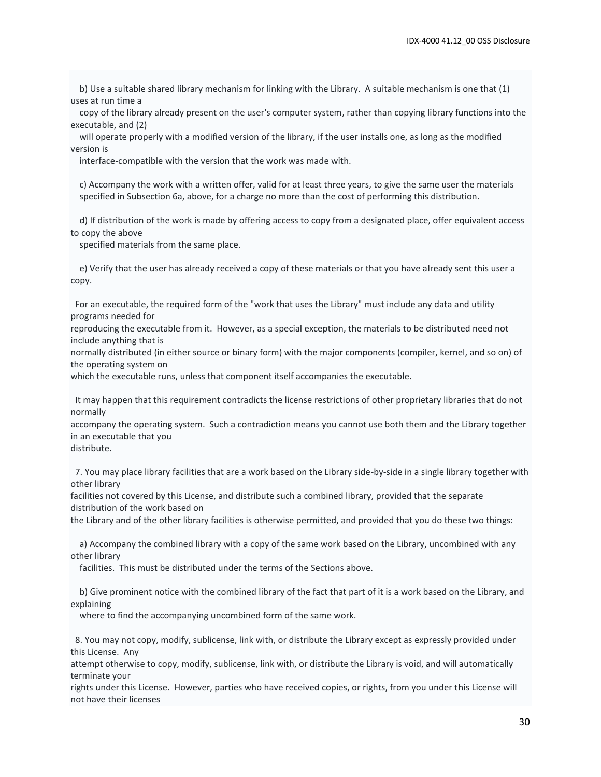b) Use a suitable shared library mechanism for linking with the Library. A suitable mechanism is one that (1) uses at run time a

 copy of the library already present on the user's computer system, rather than copying library functions into the executable, and (2)

 will operate properly with a modified version of the library, if the user installs one, as long as the modified version is

interface-compatible with the version that the work was made with.

 c) Accompany the work with a written offer, valid for at least three years, to give the same user the materials specified in Subsection 6a, above, for a charge no more than the cost of performing this distribution.

 d) If distribution of the work is made by offering access to copy from a designated place, offer equivalent access to copy the above

specified materials from the same place.

 e) Verify that the user has already received a copy of these materials or that you have already sent this user a copy.

 For an executable, the required form of the "work that uses the Library" must include any data and utility programs needed for

reproducing the executable from it. However, as a special exception, the materials to be distributed need not include anything that is

normally distributed (in either source or binary form) with the major components (compiler, kernel, and so on) of the operating system on

which the executable runs, unless that component itself accompanies the executable.

 It may happen that this requirement contradicts the license restrictions of other proprietary libraries that do not normally

accompany the operating system. Such a contradiction means you cannot use both them and the Library together in an executable that you

distribute.

 7. You may place library facilities that are a work based on the Library side-by-side in a single library together with other library

facilities not covered by this License, and distribute such a combined library, provided that the separate distribution of the work based on

the Library and of the other library facilities is otherwise permitted, and provided that you do these two things:

 a) Accompany the combined library with a copy of the same work based on the Library, uncombined with any other library

facilities. This must be distributed under the terms of the Sections above.

 b) Give prominent notice with the combined library of the fact that part of it is a work based on the Library, and explaining

where to find the accompanying uncombined form of the same work.

 8. You may not copy, modify, sublicense, link with, or distribute the Library except as expressly provided under this License. Any

attempt otherwise to copy, modify, sublicense, link with, or distribute the Library is void, and will automatically terminate your

rights under this License. However, parties who have received copies, or rights, from you under this License will not have their licenses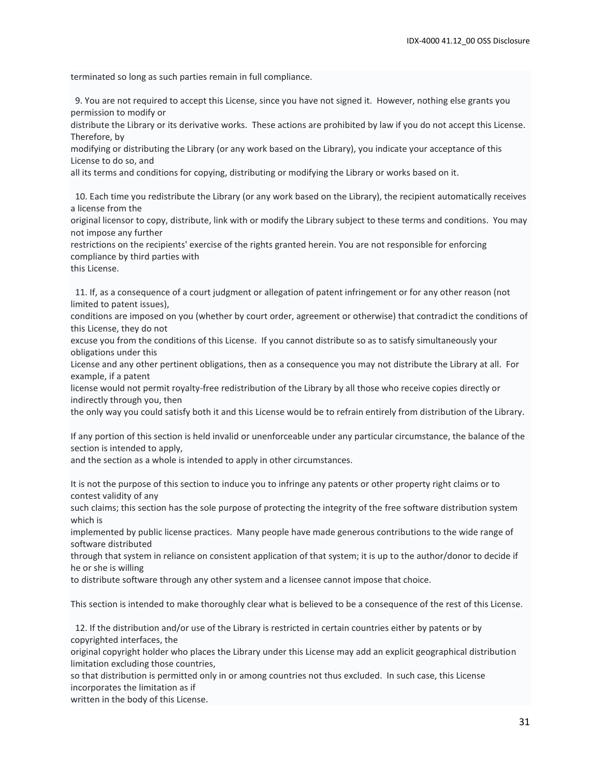terminated so long as such parties remain in full compliance.

 9. You are not required to accept this License, since you have not signed it. However, nothing else grants you permission to modify or

distribute the Library or its derivative works. These actions are prohibited by law if you do not accept this License. Therefore, by

modifying or distributing the Library (or any work based on the Library), you indicate your acceptance of this License to do so, and

all its terms and conditions for copying, distributing or modifying the Library or works based on it.

 10. Each time you redistribute the Library (or any work based on the Library), the recipient automatically receives a license from the

original licensor to copy, distribute, link with or modify the Library subject to these terms and conditions. You may not impose any further

restrictions on the recipients' exercise of the rights granted herein. You are not responsible for enforcing compliance by third parties with

this License.

 11. If, as a consequence of a court judgment or allegation of patent infringement or for any other reason (not limited to patent issues),

conditions are imposed on you (whether by court order, agreement or otherwise) that contradict the conditions of this License, they do not

excuse you from the conditions of this License. If you cannot distribute so as to satisfy simultaneously your obligations under this

License and any other pertinent obligations, then as a consequence you may not distribute the Library at all. For example, if a patent

license would not permit royalty-free redistribution of the Library by all those who receive copies directly or indirectly through you, then

the only way you could satisfy both it and this License would be to refrain entirely from distribution of the Library.

If any portion of this section is held invalid or unenforceable under any particular circumstance, the balance of the section is intended to apply,

and the section as a whole is intended to apply in other circumstances.

It is not the purpose of this section to induce you to infringe any patents or other property right claims or to contest validity of any

such claims; this section has the sole purpose of protecting the integrity of the free software distribution system which is

implemented by public license practices. Many people have made generous contributions to the wide range of software distributed

through that system in reliance on consistent application of that system; it is up to the author/donor to decide if he or she is willing

to distribute software through any other system and a licensee cannot impose that choice.

This section is intended to make thoroughly clear what is believed to be a consequence of the rest of this License.

 12. If the distribution and/or use of the Library is restricted in certain countries either by patents or by copyrighted interfaces, the

original copyright holder who places the Library under this License may add an explicit geographical distribution limitation excluding those countries,

so that distribution is permitted only in or among countries not thus excluded. In such case, this License incorporates the limitation as if

written in the body of this License.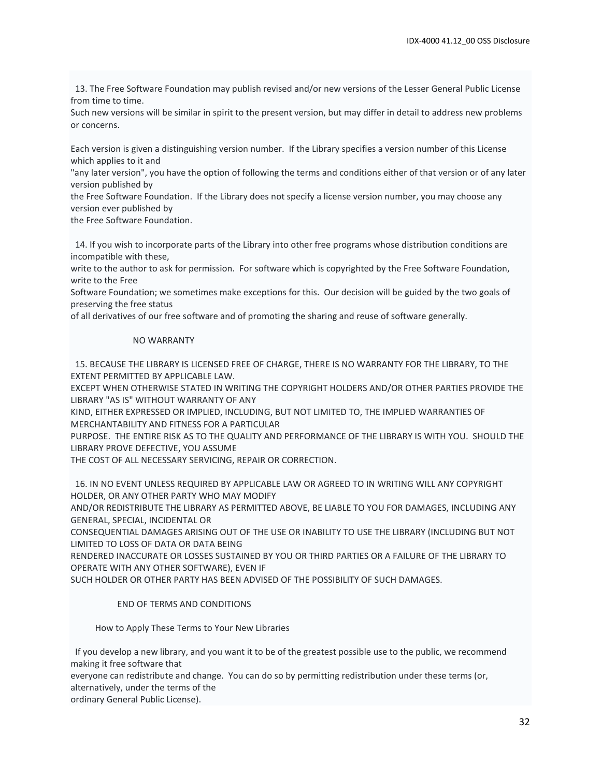13. The Free Software Foundation may publish revised and/or new versions of the Lesser General Public License from time to time.

Such new versions will be similar in spirit to the present version, but may differ in detail to address new problems or concerns.

Each version is given a distinguishing version number. If the Library specifies a version number of this License which applies to it and

"any later version", you have the option of following the terms and conditions either of that version or of any later version published by

the Free Software Foundation. If the Library does not specify a license version number, you may choose any version ever published by

the Free Software Foundation.

 14. If you wish to incorporate parts of the Library into other free programs whose distribution conditions are incompatible with these,

write to the author to ask for permission. For software which is copyrighted by the Free Software Foundation, write to the Free

Software Foundation; we sometimes make exceptions for this. Our decision will be guided by the two goals of preserving the free status

of all derivatives of our free software and of promoting the sharing and reuse of software generally.

#### NO WARRANTY

 15. BECAUSE THE LIBRARY IS LICENSED FREE OF CHARGE, THERE IS NO WARRANTY FOR THE LIBRARY, TO THE EXTENT PERMITTED BY APPLICABLE LAW.

EXCEPT WHEN OTHERWISE STATED IN WRITING THE COPYRIGHT HOLDERS AND/OR OTHER PARTIES PROVIDE THE LIBRARY "AS IS" WITHOUT WARRANTY OF ANY

KIND, EITHER EXPRESSED OR IMPLIED, INCLUDING, BUT NOT LIMITED TO, THE IMPLIED WARRANTIES OF MERCHANTABILITY AND FITNESS FOR A PARTICULAR

PURPOSE. THE ENTIRE RISK AS TO THE QUALITY AND PERFORMANCE OF THE LIBRARY IS WITH YOU. SHOULD THE LIBRARY PROVE DEFECTIVE, YOU ASSUME

THE COST OF ALL NECESSARY SERVICING, REPAIR OR CORRECTION.

 16. IN NO EVENT UNLESS REQUIRED BY APPLICABLE LAW OR AGREED TO IN WRITING WILL ANY COPYRIGHT HOLDER, OR ANY OTHER PARTY WHO MAY MODIFY

AND/OR REDISTRIBUTE THE LIBRARY AS PERMITTED ABOVE, BE LIABLE TO YOU FOR DAMAGES, INCLUDING ANY GENERAL, SPECIAL, INCIDENTAL OR

CONSEQUENTIAL DAMAGES ARISING OUT OF THE USE OR INABILITY TO USE THE LIBRARY (INCLUDING BUT NOT LIMITED TO LOSS OF DATA OR DATA BEING

RENDERED INACCURATE OR LOSSES SUSTAINED BY YOU OR THIRD PARTIES OR A FAILURE OF THE LIBRARY TO OPERATE WITH ANY OTHER SOFTWARE), EVEN IF

SUCH HOLDER OR OTHER PARTY HAS BEEN ADVISED OF THE POSSIBILITY OF SUCH DAMAGES.

#### END OF TERMS AND CONDITIONS

How to Apply These Terms to Your New Libraries

 If you develop a new library, and you want it to be of the greatest possible use to the public, we recommend making it free software that

everyone can redistribute and change. You can do so by permitting redistribution under these terms (or, alternatively, under the terms of the

ordinary General Public License).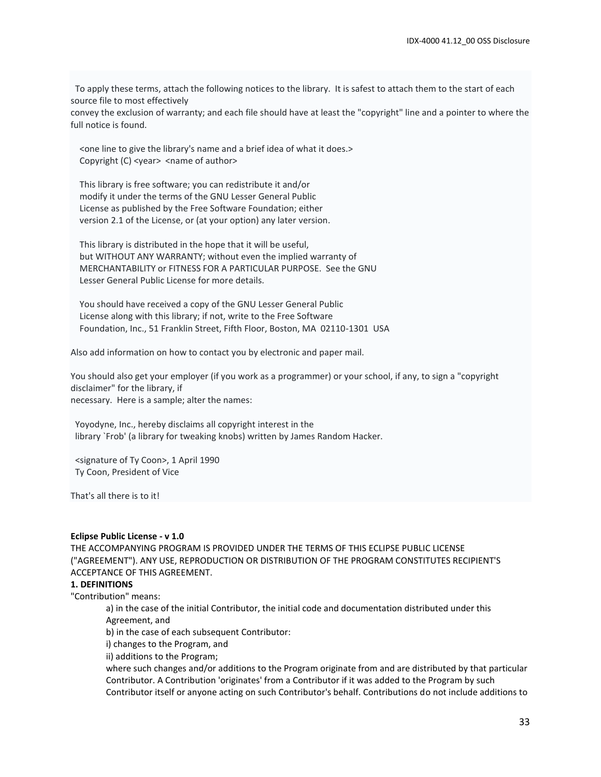To apply these terms, attach the following notices to the library. It is safest to attach them to the start of each source file to most effectively

convey the exclusion of warranty; and each file should have at least the "copyright" line and a pointer to where the full notice is found.

 <one line to give the library's name and a brief idea of what it does.> Copyright (C) <year> <name of author>

 This library is free software; you can redistribute it and/or modify it under the terms of the GNU Lesser General Public License as published by the Free Software Foundation; either version 2.1 of the License, or (at your option) any later version.

 This library is distributed in the hope that it will be useful, but WITHOUT ANY WARRANTY; without even the implied warranty of MERCHANTABILITY or FITNESS FOR A PARTICULAR PURPOSE. See the GNU Lesser General Public License for more details.

 You should have received a copy of the GNU Lesser General Public License along with this library; if not, write to the Free Software Foundation, Inc., 51 Franklin Street, Fifth Floor, Boston, MA 02110-1301 USA

Also add information on how to contact you by electronic and paper mail.

You should also get your employer (if you work as a programmer) or your school, if any, to sign a "copyright disclaimer" for the library, if necessary. Here is a sample; alter the names:

 Yoyodyne, Inc., hereby disclaims all copyright interest in the library `Frob' (a library for tweaking knobs) written by James Random Hacker.

 <signature of Ty Coon>, 1 April 1990 Ty Coon, President of Vice

That's all there is to it!

#### **Eclipse Public License - v 1.0**

THE ACCOMPANYING PROGRAM IS PROVIDED UNDER THE TERMS OF THIS ECLIPSE PUBLIC LICENSE ("AGREEMENT"). ANY USE, REPRODUCTION OR DISTRIBUTION OF THE PROGRAM CONSTITUTES RECIPIENT'S ACCEPTANCE OF THIS AGREEMENT.

#### **1. DEFINITIONS**

"Contribution" means:

a) in the case of the initial Contributor, the initial code and documentation distributed under this Agreement, and

b) in the case of each subsequent Contributor:

i) changes to the Program, and

ii) additions to the Program;

where such changes and/or additions to the Program originate from and are distributed by that particular Contributor. A Contribution 'originates' from a Contributor if it was added to the Program by such Contributor itself or anyone acting on such Contributor's behalf. Contributions do not include additions to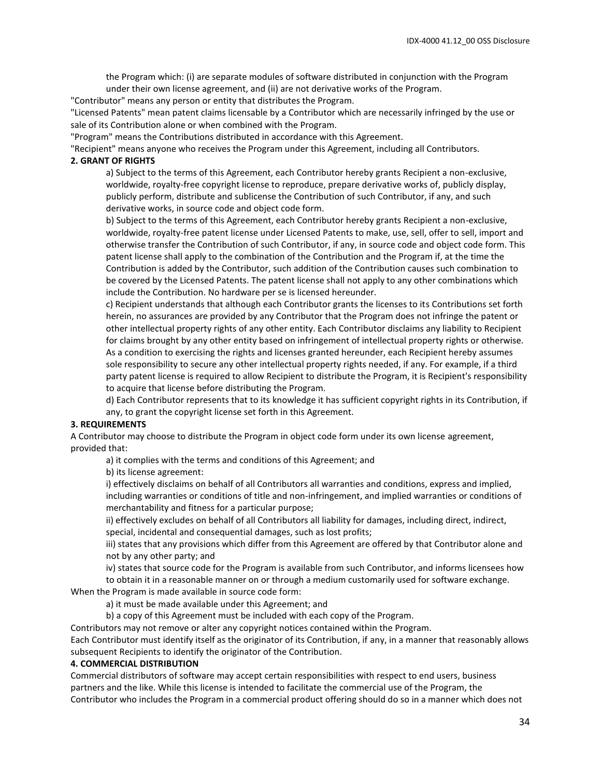the Program which: (i) are separate modules of software distributed in conjunction with the Program under their own license agreement, and (ii) are not derivative works of the Program.

"Contributor" means any person or entity that distributes the Program.

"Licensed Patents" mean patent claims licensable by a Contributor which are necessarily infringed by the use or sale of its Contribution alone or when combined with the Program.

"Program" means the Contributions distributed in accordance with this Agreement.

"Recipient" means anyone who receives the Program under this Agreement, including all Contributors.

#### **2. GRANT OF RIGHTS**

a) Subject to the terms of this Agreement, each Contributor hereby grants Recipient a non-exclusive, worldwide, royalty-free copyright license to reproduce, prepare derivative works of, publicly display, publicly perform, distribute and sublicense the Contribution of such Contributor, if any, and such derivative works, in source code and object code form.

b) Subject to the terms of this Agreement, each Contributor hereby grants Recipient a non-exclusive, worldwide, royalty-free patent license under Licensed Patents to make, use, sell, offer to sell, import and otherwise transfer the Contribution of such Contributor, if any, in source code and object code form. This patent license shall apply to the combination of the Contribution and the Program if, at the time the Contribution is added by the Contributor, such addition of the Contribution causes such combination to be covered by the Licensed Patents. The patent license shall not apply to any other combinations which include the Contribution. No hardware per se is licensed hereunder.

c) Recipient understands that although each Contributor grants the licenses to its Contributions set forth herein, no assurances are provided by any Contributor that the Program does not infringe the patent or other intellectual property rights of any other entity. Each Contributor disclaims any liability to Recipient for claims brought by any other entity based on infringement of intellectual property rights or otherwise. As a condition to exercising the rights and licenses granted hereunder, each Recipient hereby assumes sole responsibility to secure any other intellectual property rights needed, if any. For example, if a third party patent license is required to allow Recipient to distribute the Program, it is Recipient's responsibility to acquire that license before distributing the Program.

d) Each Contributor represents that to its knowledge it has sufficient copyright rights in its Contribution, if any, to grant the copyright license set forth in this Agreement.

#### **3. REQUIREMENTS**

A Contributor may choose to distribute the Program in object code form under its own license agreement, provided that:

a) it complies with the terms and conditions of this Agreement; and

b) its license agreement:

i) effectively disclaims on behalf of all Contributors all warranties and conditions, express and implied, including warranties or conditions of title and non-infringement, and implied warranties or conditions of merchantability and fitness for a particular purpose;

ii) effectively excludes on behalf of all Contributors all liability for damages, including direct, indirect, special, incidental and consequential damages, such as lost profits;

iii) states that any provisions which differ from this Agreement are offered by that Contributor alone and not by any other party; and

iv) states that source code for the Program is available from such Contributor, and informs licensees how

to obtain it in a reasonable manner on or through a medium customarily used for software exchange.

When the Program is made available in source code form:

a) it must be made available under this Agreement; and

b) a copy of this Agreement must be included with each copy of the Program.

Contributors may not remove or alter any copyright notices contained within the Program.

Each Contributor must identify itself as the originator of its Contribution, if any, in a manner that reasonably allows subsequent Recipients to identify the originator of the Contribution.

#### **4. COMMERCIAL DISTRIBUTION**

Commercial distributors of software may accept certain responsibilities with respect to end users, business partners and the like. While this license is intended to facilitate the commercial use of the Program, the Contributor who includes the Program in a commercial product offering should do so in a manner which does not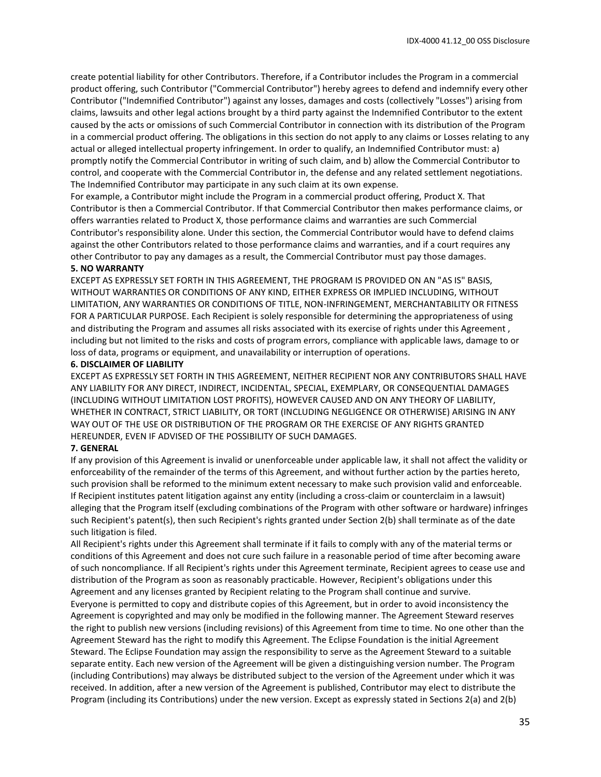create potential liability for other Contributors. Therefore, if a Contributor includes the Program in a commercial product offering, such Contributor ("Commercial Contributor") hereby agrees to defend and indemnify every other Contributor ("Indemnified Contributor") against any losses, damages and costs (collectively "Losses") arising from claims, lawsuits and other legal actions brought by a third party against the Indemnified Contributor to the extent caused by the acts or omissions of such Commercial Contributor in connection with its distribution of the Program in a commercial product offering. The obligations in this section do not apply to any claims or Losses relating to any actual or alleged intellectual property infringement. In order to qualify, an Indemnified Contributor must: a) promptly notify the Commercial Contributor in writing of such claim, and b) allow the Commercial Contributor to control, and cooperate with the Commercial Contributor in, the defense and any related settlement negotiations. The Indemnified Contributor may participate in any such claim at its own expense.

For example, a Contributor might include the Program in a commercial product offering, Product X. That Contributor is then a Commercial Contributor. If that Commercial Contributor then makes performance claims, or offers warranties related to Product X, those performance claims and warranties are such Commercial Contributor's responsibility alone. Under this section, the Commercial Contributor would have to defend claims against the other Contributors related to those performance claims and warranties, and if a court requires any other Contributor to pay any damages as a result, the Commercial Contributor must pay those damages.

#### **5. NO WARRANTY**

EXCEPT AS EXPRESSLY SET FORTH IN THIS AGREEMENT, THE PROGRAM IS PROVIDED ON AN "AS IS" BASIS, WITHOUT WARRANTIES OR CONDITIONS OF ANY KIND, EITHER EXPRESS OR IMPLIED INCLUDING, WITHOUT LIMITATION, ANY WARRANTIES OR CONDITIONS OF TITLE, NON-INFRINGEMENT, MERCHANTABILITY OR FITNESS FOR A PARTICULAR PURPOSE. Each Recipient is solely responsible for determining the appropriateness of using and distributing the Program and assumes all risks associated with its exercise of rights under this Agreement , including but not limited to the risks and costs of program errors, compliance with applicable laws, damage to or loss of data, programs or equipment, and unavailability or interruption of operations.

#### **6. DISCLAIMER OF LIABILITY**

EXCEPT AS EXPRESSLY SET FORTH IN THIS AGREEMENT, NEITHER RECIPIENT NOR ANY CONTRIBUTORS SHALL HAVE ANY LIABILITY FOR ANY DIRECT, INDIRECT, INCIDENTAL, SPECIAL, EXEMPLARY, OR CONSEQUENTIAL DAMAGES (INCLUDING WITHOUT LIMITATION LOST PROFITS), HOWEVER CAUSED AND ON ANY THEORY OF LIABILITY, WHETHER IN CONTRACT, STRICT LIABILITY, OR TORT (INCLUDING NEGLIGENCE OR OTHERWISE) ARISING IN ANY WAY OUT OF THE USE OR DISTRIBUTION OF THE PROGRAM OR THE EXERCISE OF ANY RIGHTS GRANTED HEREUNDER, EVEN IF ADVISED OF THE POSSIBILITY OF SUCH DAMAGES.

#### **7. GENERAL**

If any provision of this Agreement is invalid or unenforceable under applicable law, it shall not affect the validity or enforceability of the remainder of the terms of this Agreement, and without further action by the parties hereto, such provision shall be reformed to the minimum extent necessary to make such provision valid and enforceable. If Recipient institutes patent litigation against any entity (including a cross-claim or counterclaim in a lawsuit) alleging that the Program itself (excluding combinations of the Program with other software or hardware) infringes such Recipient's patent(s), then such Recipient's rights granted under Section 2(b) shall terminate as of the date such litigation is filed.

All Recipient's rights under this Agreement shall terminate if it fails to comply with any of the material terms or conditions of this Agreement and does not cure such failure in a reasonable period of time after becoming aware of such noncompliance. If all Recipient's rights under this Agreement terminate, Recipient agrees to cease use and distribution of the Program as soon as reasonably practicable. However, Recipient's obligations under this Agreement and any licenses granted by Recipient relating to the Program shall continue and survive.

Everyone is permitted to copy and distribute copies of this Agreement, but in order to avoid inconsistency the Agreement is copyrighted and may only be modified in the following manner. The Agreement Steward reserves the right to publish new versions (including revisions) of this Agreement from time to time. No one other than the Agreement Steward has the right to modify this Agreement. The Eclipse Foundation is the initial Agreement Steward. The Eclipse Foundation may assign the responsibility to serve as the Agreement Steward to a suitable separate entity. Each new version of the Agreement will be given a distinguishing version number. The Program (including Contributions) may always be distributed subject to the version of the Agreement under which it was received. In addition, after a new version of the Agreement is published, Contributor may elect to distribute the Program (including its Contributions) under the new version. Except as expressly stated in Sections 2(a) and 2(b)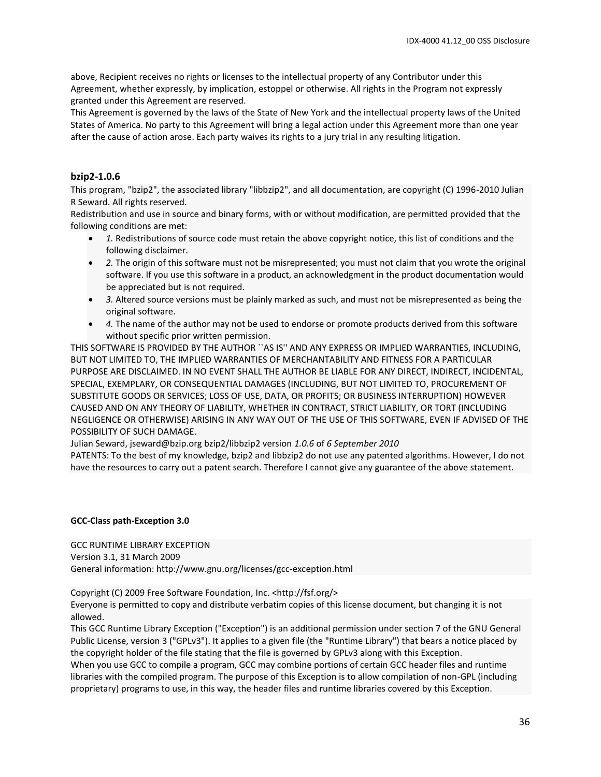above, Recipient receives no rights or licenses to the intellectual property of any Contributor under this Agreement, whether expressly, by implication, estoppel or otherwise. All rights in the Program not expressly granted under this Agreement are reserved.

This Agreement is governed by the laws of the State of New York and the intellectual property laws of the United States of America. No party to this Agreement will bring a legal action under this Agreement more than one year after the cause of action arose. Each party waives its rights to a jury trial in any resulting litigation.

## **bzip2-1.0.6**

This program, "bzip2", the associated library "libbzip2", and all documentation, are copyright (C) 1996-2010 Julian R Seward. All rights reserved.

Redistribution and use in source and binary forms, with or without modification, are permitted provided that the following conditions are met:

- *1.* Redistributions of source code must retain the above copyright notice, this list of conditions and the following disclaimer.
- *2.* The origin of this software must not be misrepresented; you must not claim that you wrote the original software. If you use this software in a product, an acknowledgment in the product documentation would be appreciated but is not required.
- *3.* Altered source versions must be plainly marked as such, and must not be misrepresented as being the original software.
- *4.* The name of the author may not be used to endorse or promote products derived from this software without specific prior written permission.

THIS SOFTWARE IS PROVIDED BY THE AUTHOR ``AS IS'' AND ANY EXPRESS OR IMPLIED WARRANTIES, INCLUDING, BUT NOT LIMITED TO, THE IMPLIED WARRANTIES OF MERCHANTABILITY AND FITNESS FOR A PARTICULAR PURPOSE ARE DISCLAIMED. IN NO EVENT SHALL THE AUTHOR BE LIABLE FOR ANY DIRECT, INDIRECT, INCIDENTAL, SPECIAL, EXEMPLARY, OR CONSEQUENTIAL DAMAGES (INCLUDING, BUT NOT LIMITED TO, PROCUREMENT OF SUBSTITUTE GOODS OR SERVICES; LOSS OF USE, DATA, OR PROFITS; OR BUSINESS INTERRUPTION) HOWEVER CAUSED AND ON ANY THEORY OF LIABILITY, WHETHER IN CONTRACT, STRICT LIABILITY, OR TORT (INCLUDING NEGLIGENCE OR OTHERWISE) ARISING IN ANY WAY OUT OF THE USE OF THIS SOFTWARE, EVEN IF ADVISED OF THE POSSIBILITY OF SUCH DAMAGE.

Julian Seward, jseward@bzip.org bzip2/libbzip2 version *1.0.6* of *6 September 2010*

PATENTS: To the best of my knowledge, bzip2 and libbzip2 do not use any patented algorithms. However, I do not have the resources to carry out a patent search. Therefore I cannot give any guarantee of the above statement.

#### **GCC-Class path-Exception 3.0**

GCC RUNTIME LIBRARY EXCEPTION Version 3.1, 31 March 2009 General information: http://www.gnu.org/licenses/gcc-exception.html

Copyright (C) 2009 Free Software Foundation, Inc. <http://fsf.org/>

Everyone is permitted to copy and distribute verbatim copies of this license document, but changing it is not allowed.

This GCC Runtime Library Exception ("Exception") is an additional permission under section 7 of the GNU General Public License, version 3 ("GPLv3"). It applies to a given file (the "Runtime Library") that bears a notice placed by the copyright holder of the file stating that the file is governed by GPLv3 along with this Exception.

When you use GCC to compile a program, GCC may combine portions of certain GCC header files and runtime libraries with the compiled program. The purpose of this Exception is to allow compilation of non-GPL (including proprietary) programs to use, in this way, the header files and runtime libraries covered by this Exception.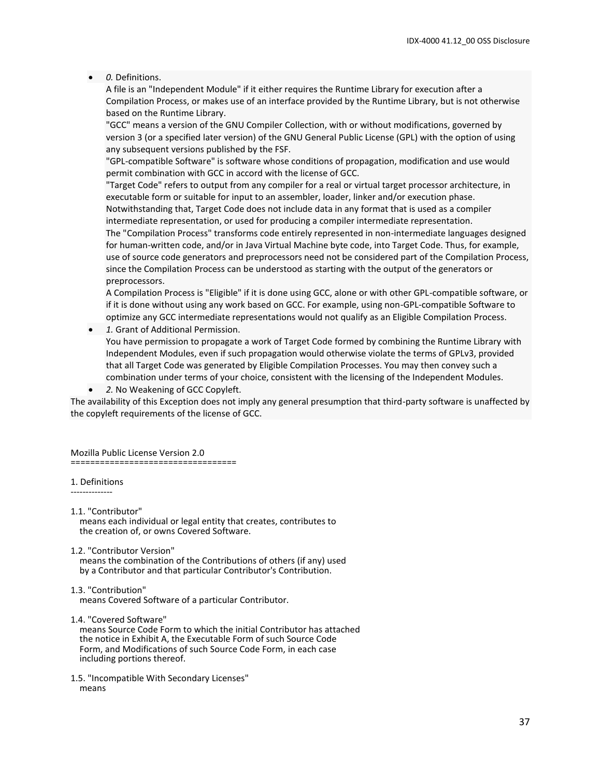#### • *0.* Definitions.

A file is an "Independent Module" if it either requires the Runtime Library for execution after a Compilation Process, or makes use of an interface provided by the Runtime Library, but is not otherwise based on the Runtime Library.

"GCC" means a version of the GNU Compiler Collection, with or without modifications, governed by version 3 (or a specified later version) of the GNU General Public License (GPL) with the option of using any subsequent versions published by the FSF.

"GPL-compatible Software" is software whose conditions of propagation, modification and use would permit combination with GCC in accord with the license of GCC.

"Target Code" refers to output from any compiler for a real or virtual target processor architecture, in executable form or suitable for input to an assembler, loader, linker and/or execution phase. Notwithstanding that, Target Code does not include data in any format that is used as a compiler

intermediate representation, or used for producing a compiler intermediate representation. The "Compilation Process" transforms code entirely represented in non-intermediate languages designed for human-written code, and/or in Java Virtual Machine byte code, into Target Code. Thus, for example, use of source code generators and preprocessors need not be considered part of the Compilation Process, since the Compilation Process can be understood as starting with the output of the generators or preprocessors.

A Compilation Process is "Eligible" if it is done using GCC, alone or with other GPL-compatible software, or if it is done without using any work based on GCC. For example, using non-GPL-compatible Software to optimize any GCC intermediate representations would not qualify as an Eligible Compilation Process.

• *1.* Grant of Additional Permission.

You have permission to propagate a work of Target Code formed by combining the Runtime Library with Independent Modules, even if such propagation would otherwise violate the terms of GPLv3, provided that all Target Code was generated by Eligible Compilation Processes. You may then convey such a combination under terms of your choice, consistent with the licensing of the Independent Modules.

• *2.* No Weakening of GCC Copyleft.

The availability of this Exception does not imply any general presumption that third-party software is unaffected by the copyleft requirements of the license of GCC.

Mozilla Public License Version 2.0 ==================================

#### 1. Definitions --------------

- 1.1. "Contributor" means each individual or legal entity that creates, contributes to the creation of, or owns Covered Software.
- 1.2. "Contributor Version" means the combination of the Contributions of others (if any) used by a Contributor and that particular Contributor's Contribution.
- 1.3. "Contribution" means Covered Software of a particular Contributor.

1.4. "Covered Software"

 means Source Code Form to which the initial Contributor has attached the notice in Exhibit A, the Executable Form of such Source Code Form, and Modifications of such Source Code Form, in each case including portions thereof.

1.5. "Incompatible With Secondary Licenses" means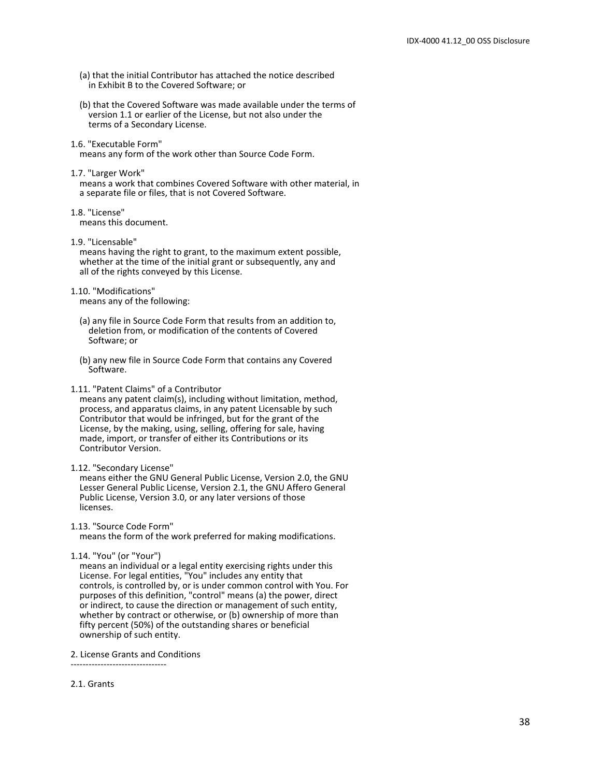- (a) that the initial Contributor has attached the notice described in Exhibit B to the Covered Software; or
- (b) that the Covered Software was made available under the terms of version 1.1 or earlier of the License, but not also under the terms of a Secondary License.
- 1.6. "Executable Form" means any form of the work other than Source Code Form.
- 1.7. "Larger Work"

 means a work that combines Covered Software with other material, in a separate file or files, that is not Covered Software.

1.8. "License" means this document.

1.9. "Licensable"

 means having the right to grant, to the maximum extent possible, whether at the time of the initial grant or subsequently, any and all of the rights conveyed by this License.

- 1.10. "Modifications" means any of the following:
	- (a) any file in Source Code Form that results from an addition to, deletion from, or modification of the contents of Covered Software; or
	- (b) any new file in Source Code Form that contains any Covered Software.
- 1.11. "Patent Claims" of a Contributor

 means any patent claim(s), including without limitation, method, process, and apparatus claims, in any patent Licensable by such Contributor that would be infringed, but for the grant of the License, by the making, using, selling, offering for sale, having made, import, or transfer of either its Contributions or its Contributor Version.

1.12. "Secondary License"

 means either the GNU General Public License, Version 2.0, the GNU Lesser General Public License, Version 2.1, the GNU Affero General Public License, Version 3.0, or any later versions of those licenses.

1.13. "Source Code Form"

means the form of the work preferred for making modifications.

1.14. "You" (or "Your")

 means an individual or a legal entity exercising rights under this License. For legal entities, "You" includes any entity that controls, is controlled by, or is under common control with You. For purposes of this definition, "control" means (a) the power, direct or indirect, to cause the direction or management of such entity, whether by contract or otherwise, or (b) ownership of more than fifty percent (50%) of the outstanding shares or beneficial ownership of such entity.

2. License Grants and Conditions

--------------------------------

2.1. Grants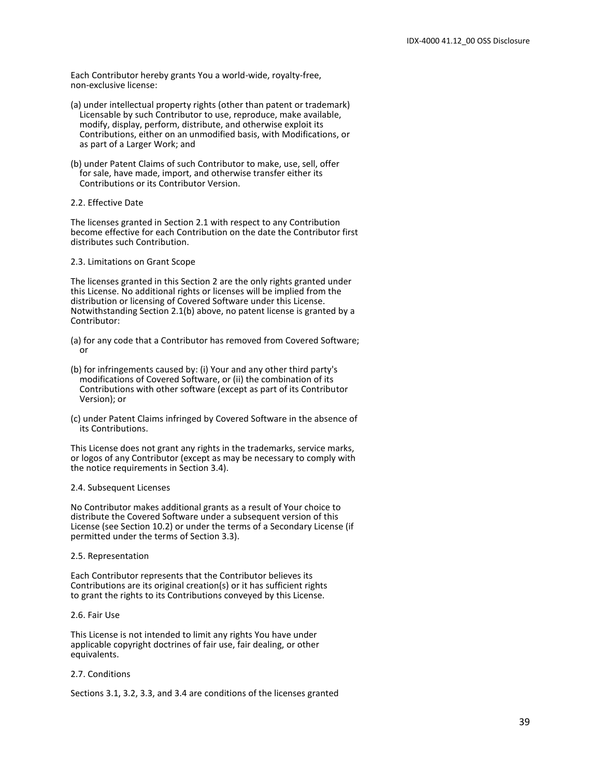Each Contributor hereby grants You a world-wide, royalty-free, non-exclusive license:

- (a) under intellectual property rights (other than patent or trademark) Licensable by such Contributor to use, reproduce, make available, modify, display, perform, distribute, and otherwise exploit its Contributions, either on an unmodified basis, with Modifications, or as part of a Larger Work; and
- (b) under Patent Claims of such Contributor to make, use, sell, offer for sale, have made, import, and otherwise transfer either its Contributions or its Contributor Version.
- 2.2. Effective Date

The licenses granted in Section 2.1 with respect to any Contribution become effective for each Contribution on the date the Contributor first distributes such Contribution.

#### 2.3. Limitations on Grant Scope

The licenses granted in this Section 2 are the only rights granted under this License. No additional rights or licenses will be implied from the distribution or licensing of Covered Software under this License. Notwithstanding Section 2.1(b) above, no patent license is granted by a Contributor:

- (a) for any code that a Contributor has removed from Covered Software; or
- (b) for infringements caused by: (i) Your and any other third party's modifications of Covered Software, or (ii) the combination of its Contributions with other software (except as part of its Contributor Version); or
- (c) under Patent Claims infringed by Covered Software in the absence of its Contributions.

This License does not grant any rights in the trademarks, service marks, or logos of any Contributor (except as may be necessary to comply with the notice requirements in Section 3.4).

#### 2.4. Subsequent Licenses

No Contributor makes additional grants as a result of Your choice to distribute the Covered Software under a subsequent version of this License (see Section 10.2) or under the terms of a Secondary License (if permitted under the terms of Section 3.3).

#### 2.5. Representation

Each Contributor represents that the Contributor believes its Contributions are its original creation(s) or it has sufficient rights to grant the rights to its Contributions conveyed by this License.

2.6. Fair Use

This License is not intended to limit any rights You have under applicable copyright doctrines of fair use, fair dealing, or other equivalents.

#### 2.7. Conditions

Sections 3.1, 3.2, 3.3, and 3.4 are conditions of the licenses granted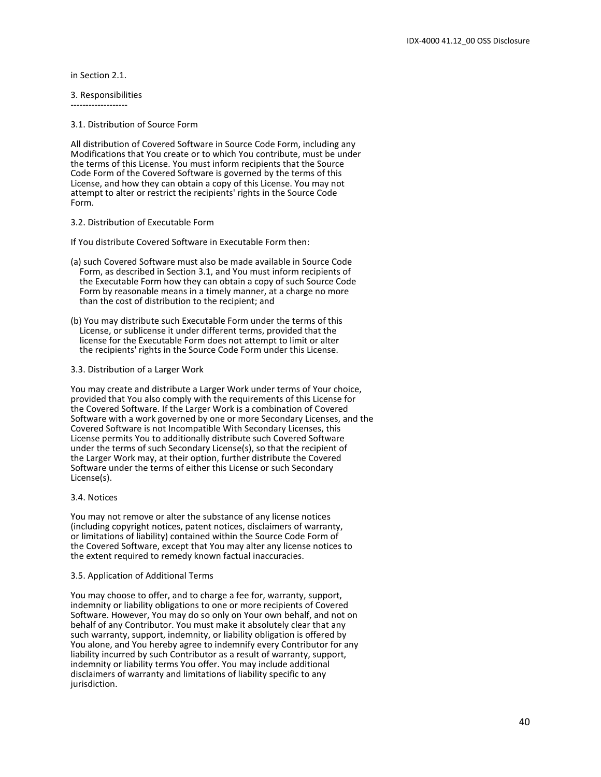in Section 2.1.

-------------------

3. Responsibilities

3.1. Distribution of Source Form

All distribution of Covered Software in Source Code Form, including any Modifications that You create or to which You contribute, must be under the terms of this License. You must inform recipients that the Source Code Form of the Covered Software is governed by the terms of this License, and how they can obtain a copy of this License. You may not attempt to alter or restrict the recipients' rights in the Source Code Form.

#### 3.2. Distribution of Executable Form

If You distribute Covered Software in Executable Form then:

- (a) such Covered Software must also be made available in Source Code Form, as described in Section 3.1, and You must inform recipients of the Executable Form how they can obtain a copy of such Source Code Form by reasonable means in a timely manner, at a charge no more than the cost of distribution to the recipient; and
- (b) You may distribute such Executable Form under the terms of this License, or sublicense it under different terms, provided that the license for the Executable Form does not attempt to limit or alter the recipients' rights in the Source Code Form under this License.

#### 3.3. Distribution of a Larger Work

You may create and distribute a Larger Work under terms of Your choice, provided that You also comply with the requirements of this License for the Covered Software. If the Larger Work is a combination of Covered Software with a work governed by one or more Secondary Licenses, and the Covered Software is not Incompatible With Secondary Licenses, this License permits You to additionally distribute such Covered Software under the terms of such Secondary License(s), so that the recipient of the Larger Work may, at their option, further distribute the Covered Software under the terms of either this License or such Secondary License(s).

#### 3.4. Notices

You may not remove or alter the substance of any license notices (including copyright notices, patent notices, disclaimers of warranty, or limitations of liability) contained within the Source Code Form of the Covered Software, except that You may alter any license notices to the extent required to remedy known factual inaccuracies.

#### 3.5. Application of Additional Terms

You may choose to offer, and to charge a fee for, warranty, support, indemnity or liability obligations to one or more recipients of Covered Software. However, You may do so only on Your own behalf, and not on behalf of any Contributor. You must make it absolutely clear that any such warranty, support, indemnity, or liability obligation is offered by You alone, and You hereby agree to indemnify every Contributor for any liability incurred by such Contributor as a result of warranty, support, indemnity or liability terms You offer. You may include additional disclaimers of warranty and limitations of liability specific to any jurisdiction.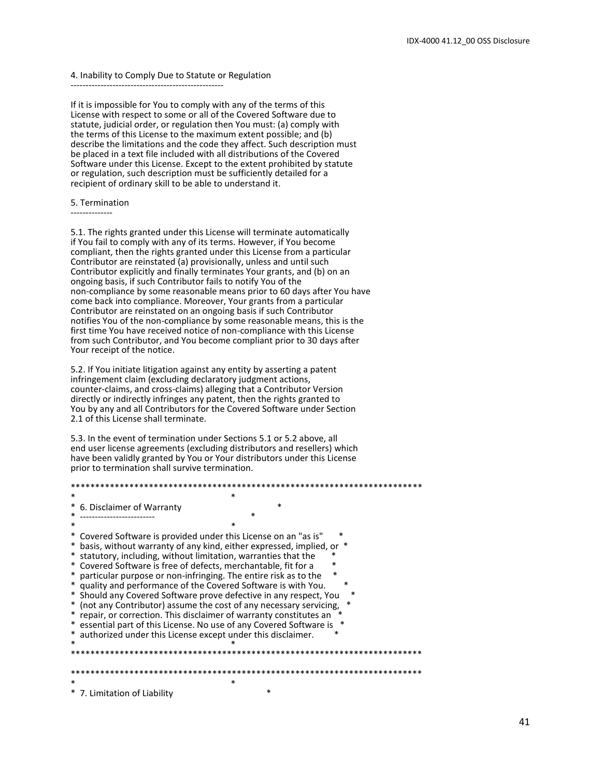#### 4. Inability to Comply Due to Statute or Regulation

---------------------------------------------------

If it is impossible for You to comply with any of the terms of this License with respect to some or all of the Covered Software due to statute, judicial order, or regulation then You must: (a) comply with the terms of this License to the maximum extent possible; and (b) describe the limitations and the code they affect. Such description must be placed in a text file included with all distributions of the Covered Software under this License. Except to the extent prohibited by statute or regulation, such description must be sufficiently detailed for a recipient of ordinary skill to be able to understand it.

#### 5. Termination

--------------

5.1. The rights granted under this License will terminate automatically if You fail to comply with any of its terms. However, if You become compliant, then the rights granted under this License from a particular Contributor are reinstated (a) provisionally, unless and until such Contributor explicitly and finally terminates Your grants, and (b) on an ongoing basis, if such Contributor fails to notify You of the non-compliance by some reasonable means prior to 60 days after You have come back into compliance. Moreover, Your grants from a particular Contributor are reinstated on an ongoing basis if such Contributor notifies You of the non-compliance by some reasonable means, this is the first time You have received notice of non-compliance with this License from such Contributor, and You become compliant prior to 30 days after Your receipt of the notice.

5.2. If You initiate litigation against any entity by asserting a patent infringement claim (excluding declaratory judgment actions, counter-claims, and cross-claims) alleging that a Contributor Version directly or indirectly infringes any patent, then the rights granted to You by any and all Contributors for the Covered Software under Section 2.1 of this License shall terminate.

5.3. In the event of termination under Sections 5.1 or 5.2 above, all end user license agreements (excluding distributors and resellers) which have been validly granted by You or Your distributors under this License prior to termination shall survive termination.

#### \*\*\*\*\*\*\*\*\*\*\*\*\*\*\*\*\*\*\*\*\*\*\*\*\*\*\*\*\*\*\*\*\*\*\*\*\*\*\*\*\*\*\*\*\*\*\*\*\*\*\*\*\*\*\*\*\*\*\*\*\*\*\*\*\*\*\*\*\*\*\*\*  $*$

\* 6. Disclaimer of Warranty \*

\* ------------------------<br>\*  $*$ \* Covered Software is provided under this License on an "as is" \* \* basis, without warranty of any kind, either expressed, implied, or \* statutory, including, without limitation, warranties that the Covered Software is free of defects, merchantable, fit for a particular purpose or non-infringing. The entire risk as to the quality and performance of the Covered Software is with You. Should any Covered Software prove defective in any respect, You  $*$  (not any Contributor) assume the cost of any necessary servicing,<br> $*$  contributor) assume the cost of any necessary servicing,  $*$ \* repair, or correction. This disclaimer of warranty constitutes an \* \* essential part of this License. No use of any Covered Software is \* \* authorized under this License except under this disclaimer.<br>\*  $*$ \*\*\*\*\*\*\*\*\*\*\*\*\*\*\*\*\*\*\*\*\*\*\*\*\*\*\*\*\*\*\*\*\*\*\*\*\*\*\*\*\*\*\*\*\*\*\*\*\*\*\*\*\*\*\*\*\*\*\*\*\*\*\*\*\*\*\*\*\*\*\*\* \*\*\*\*\*\*\*\*\*\*\*\*\*\*\*\*\*\*\*\*\*\*\*\*\*\*\*\*\*\*\*\*\*\*\*\*\*\*\*\*\*\*\*\*\*\*\*\*\*\*\*\*\*\*\*\*\*\*\*\*\*\*\*\*\*\*\*\*\*\*\*\*  $*$ \* 7. Limitation of Liability \*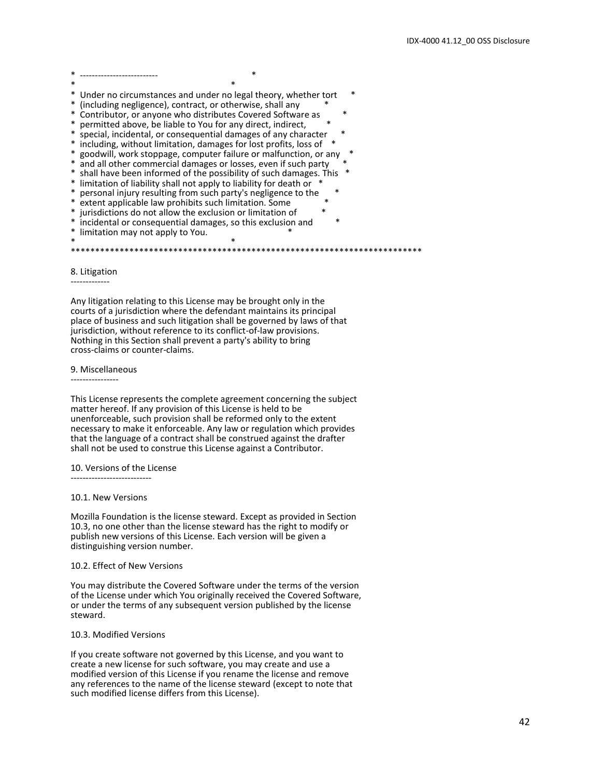\* -------------------------- \*  $*$ \* Under no circumstances and under no legal theory, whether tort \* (including negligence), contract, or otherwise, shall any Contributor, or anyone who distributes Covered Software as permitted above, be liable to You for any direct, indirect, special, incidental, or consequential damages of any character including, without limitation, damages for lost profits, loss of \* goodwill, work stoppage, computer failure or malfunction, or any and all other commercial damages or losses, even if such party \* shall have been informed of the possibility of such damages. This \*<br>\* limitation of liability shall not apply to liability for doath or \* limitation of liability shall not apply to liability for death or \* personal injury resulting from such party's negligence to the extent applicable law prohibits such limitation. Some jurisdictions do not allow the exclusion or limitation of incidental or consequential damages, so this exclusion and limitation may not apply to You.  $*$ \*\*\*\*\*\*\*\*\*\*\*\*\*\*\*\*\*\*\*\*\*\*\*\*\*\*\*\*\*\*\*\*\*\*\*\*\*\*\*\*\*\*\*\*\*\*\*\*\*\*\*\*\*\*\*\*\*\*\*\*\*\*\*\*\*\*\*\*\*\*\*\*

#### 8. Litigation -------------

Any litigation relating to this License may be brought only in the courts of a jurisdiction where the defendant maintains its principal place of business and such litigation shall be governed by laws of that jurisdiction, without reference to its conflict-of-law provisions. Nothing in this Section shall prevent a party's ability to bring

#### 9. Miscellaneous

----------------

cross-claims or counter-claims.

This License represents the complete agreement concerning the subject matter hereof. If any provision of this License is held to be unenforceable, such provision shall be reformed only to the extent necessary to make it enforceable. Any law or regulation which provides that the language of a contract shall be construed against the drafter shall not be used to construe this License against a Contributor.

#### 10. Versions of the License

---------------------------

#### 10.1. New Versions

Mozilla Foundation is the license steward. Except as provided in Section 10.3, no one other than the license steward has the right to modify or publish new versions of this License. Each version will be given a distinguishing version number.

#### 10.2. Effect of New Versions

You may distribute the Covered Software under the terms of the version of the License under which You originally received the Covered Software, or under the terms of any subsequent version published by the license steward.

#### 10.3. Modified Versions

If you create software not governed by this License, and you want to create a new license for such software, you may create and use a modified version of this License if you rename the license and remove any references to the name of the license steward (except to note that such modified license differs from this License).